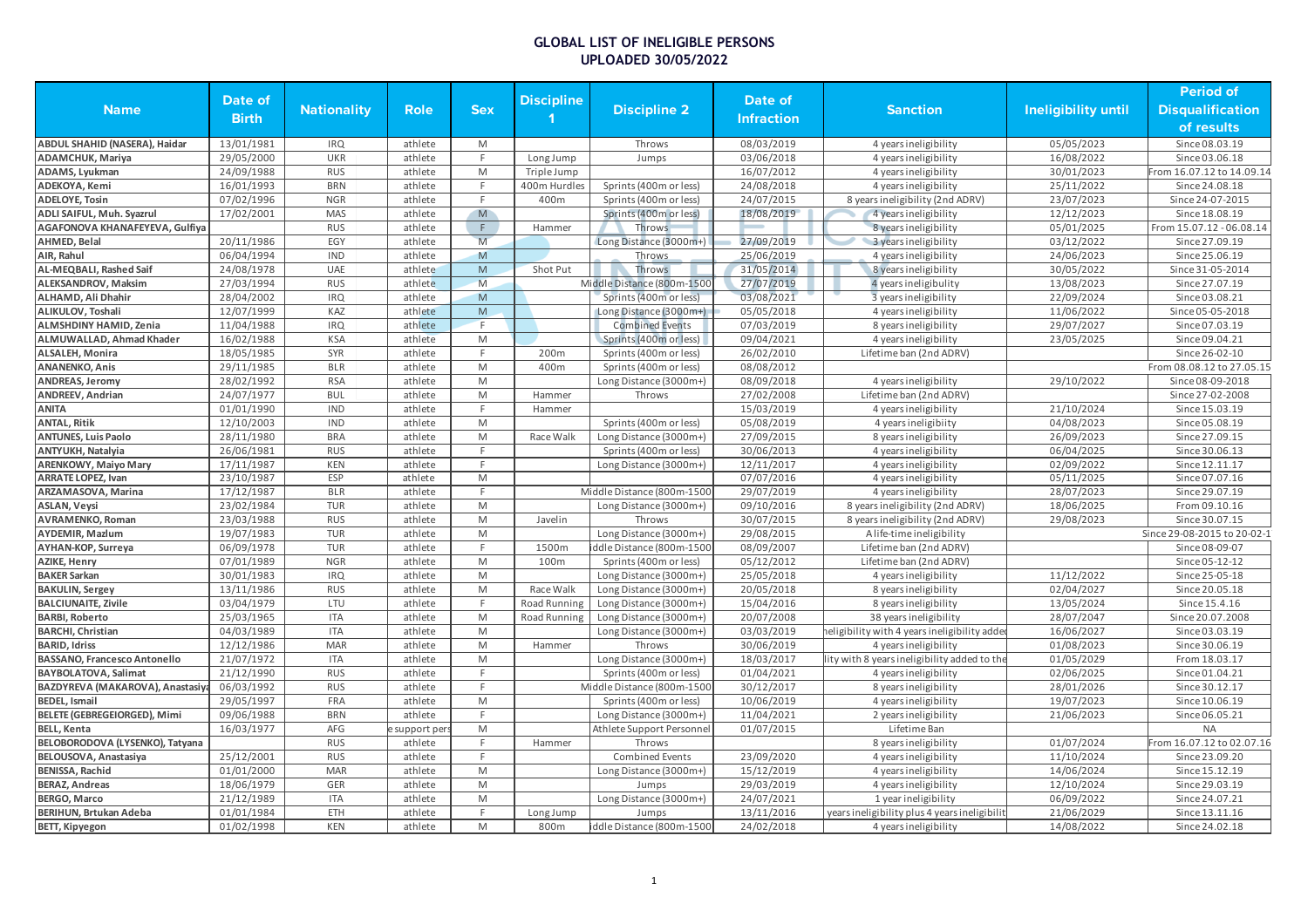|                                     |              |                    |             |            |                     |                            |                   |                                              |                            | <b>Period of</b>            |
|-------------------------------------|--------------|--------------------|-------------|------------|---------------------|----------------------------|-------------------|----------------------------------------------|----------------------------|-----------------------------|
| <b>Name</b>                         | Date of      | <b>Nationality</b> | <b>Role</b> | <b>Sex</b> | <b>Discipline</b>   | <b>Discipline 2</b>        | Date of           | <b>Sanction</b>                              | <b>Ineligibility until</b> | <b>Disqualification</b>     |
|                                     | <b>Birth</b> |                    |             |            |                     |                            | <b>Infraction</b> |                                              |                            | of results                  |
| ABDUL SHAHID (NASERA), Haidar       | 13/01/1981   | <b>IRQ</b>         | athlete     | M          |                     | Throws                     | 08/03/2019        | 4 years ineligibility                        | 05/05/2023                 | Since 08.03.19              |
| <b>ADAMCHUK, Mariya</b>             | 29/05/2000   | <b>UKR</b>         | athlete     | F.         | Long Jump           | Jumps                      | 03/06/2018        | 4 years ineligibility                        | 16/08/2022                 | Since 03.06.18              |
| ADAMS, Lyukman                      | 24/09/1988   | <b>RUS</b>         | athlete     | M          | Triple Jump         |                            | 16/07/2012        | 4 years ineligibility                        | 30/01/2023                 | rom 16.07.12 to 14.09.14    |
| ADEKOYA, Kemi                       | 16/01/1993   | <b>BRN</b>         | athlete     | F.         | 400m Hurdles        | Sprints (400m or less)     | 24/08/2018        | 4 years ineligibility                        | 25/11/2022                 | Since 24.08.18              |
| <b>ADELOYE, Tosin</b>               | 07/02/1996   | <b>NGR</b>         | athlete     | F.         | 400m                | Sprints (400m or less)     | 24/07/2015        | 8 years ineligibility (2nd ADRV)             | 23/07/2023                 | Since 24-07-2015            |
| ADLI SAIFUL, Muh. Syazrul           | 17/02/2001   | MAS                | athlete     | M          |                     | Sprints (400m or less)     | 18/08/2019        | 4 years ineligibility                        | 12/12/2023                 | Since 18.08.19              |
| AGAFONOVA KHANAFEYEVA, Gulfiya      |              | <b>RUS</b>         | athlete     | F.         | Hammer              | Throws                     |                   | 8 years ineligibility                        | 05/01/2025                 | From 15.07.12 - 06.08.14    |
| AHMED, Belal                        | 20/11/1986   | EGY                | athlete     | M          |                     | Long Distance (3000m+)     | 27/09/2019        | 3 years ineligibility                        | 03/12/2022                 | Since 27.09.19              |
| AIR, Rahul                          | 06/04/1994   | <b>IND</b>         | athlete     | M          |                     | Throws                     | 25/06/2019        | 4 years ineligibility                        | 24/06/2023                 | Since 25.06.19              |
| AL-MEQBALI, Rashed Saif             | 24/08/1978   | UAE                | athlete     | ${\sf M}$  | Shot Put            | Throws                     | 31/05/2014        | 8 years ineligibility                        | 30/05/2022                 | Since 31-05-2014            |
| ALEKSANDROV. Maksim                 | 27/03/1994   | <b>RUS</b>         | athlete     | M          |                     | Middle Distance (800m-1500 | 27/07/2019        | 4 years ineligibulity                        | 13/08/2023                 | Since 27.07.19              |
| ALHAMD, Ali Dhahir                  | 28/04/2002   | <b>IRQ</b>         | athlete     | M          |                     | Sprints (400m or less)     | 03/08/2021        | 3 years ineligibility                        | 22/09/2024                 | Since 03.08.21              |
| ALIKULOV, Toshali                   | 12/07/1999   | KAZ                | athlete     | M          |                     | Long Distance (3000m+)     | 05/05/2018        | 4 years ineligibility                        | 11/06/2022                 | Since 05-05-2018            |
| <b>ALMSHDINY HAMID, Zenia</b>       | 11/04/1988   | <b>IRQ</b>         | athlete     | F.         |                     | <b>Combined Events</b>     | 07/03/2019        | 8 years ineligibility                        | 29/07/2027                 | Since 07.03.19              |
| ALMUWALLAD, Ahmad Khader            | 16/02/1988   | <b>KSA</b>         | athlete     | M          |                     | Sprints (400m or less)     | 09/04/2021        | 4 years ineligibility                        | 23/05/2025                 | Since 09.04.21              |
| <b>ALSALEH, Monira</b>              | 18/05/1985   | SYR                | athlete     | E          | 200m                | Sprints (400m or less)     | 26/02/2010        | Lifetime ban (2nd ADRV                       |                            | Since 26-02-10              |
| <b>ANANENKO, Anis</b>               | 29/11/1985   | <b>BLR</b>         | athlete     | M          | 400m                | Sprints (400m or less)     | 08/08/2012        |                                              |                            | From 08.08.12 to 27.05.15   |
| <b>ANDREAS, Jeromy</b>              | 28/02/1992   | <b>RSA</b>         | athlete     | M          |                     | Long Distance (3000m+)     | 08/09/2018        | 4 years ineligibility                        | 29/10/2022                 | Since 08-09-2018            |
| ANDREEV, Andrian                    | 24/07/1977   | <b>BUL</b>         | athlete     | M          | Hammer              | Throws                     | 27/02/2008        | Lifetime ban (2nd ADRV)                      |                            | Since 27-02-2008            |
| <b>ANITA</b>                        | 01/01/1990   | <b>IND</b>         | athlete     | F.         | Hammer              |                            | 15/03/2019        | 4 years ineligibility                        | 21/10/2024                 | Since 15.03.19              |
| <b>ANTAL, Ritik</b>                 | 12/10/2003   | <b>IND</b>         | athlete     | M          |                     | Sprints (400m or less)     | 05/08/2019        | 4 years ineligibiity                         | 04/08/2023                 | Since 05.08.19              |
| <b>ANTUNES, Luis Paolo</b>          | 28/11/1980   | <b>BRA</b>         | athlete     | M          | Race Walk           | Long Distance (3000m+)     | 27/09/2015        | 8 years ineligibility                        | 26/09/2023                 | Since 27.09.15              |
| ANTYUKH, Natalyia                   | 26/06/1981   | <b>RUS</b>         | athlete     | F.         |                     | Sprints (400m or less)     | 30/06/2013        | 4 years ineligibility                        | 06/04/2025                 | Since 30.06.13              |
| <b>ARENKOWY, Maiyo Mary</b>         | 17/11/1987   | <b>KEN</b>         | athlete     | E          |                     | Long Distance (3000m+)     | 12/11/2017        | 4 years ineligibility                        | 02/09/2022                 | Since 12.11.17              |
| <b>ARRATE LOPEZ, Ivan</b>           | 23/10/1987   | ESP                | athlete     | ${\sf M}$  |                     |                            | 07/07/2016        | 4 years ineligibility                        | 05/11/2025                 | Since 07.07.16              |
| ARZAMASOVA, Marina                  | 17/12/1987   | <b>BLR</b>         | athlete     | F.         |                     | Middle Distance (800m-1500 | 29/07/2019        | 4 years ineligibility                        | 28/07/2023                 | Since 29.07.19              |
| <b>ASLAN, Veysi</b>                 | 23/02/1984   | <b>TUR</b>         | athlete     | M          |                     | Long Distance (3000m+)     | 09/10/2016        | 8 years ineligibility (2nd ADRV)             | 18/06/2025                 | From 09.10.16               |
| <b>AVRAMENKO, Roman</b>             | 23/03/1988   | <b>RUS</b>         | athlete     | M          | Javelin             | Throws                     | 30/07/2015        | 8 years ineligibility (2nd ADRV)             | 29/08/2023                 | Since 30.07.15              |
| <b>AYDEMIR, Mazlum</b>              | 19/07/1983   | <b>TUR</b>         | athlete     | M          |                     | Long Distance (3000m+)     | 29/08/2015        | A life-time ineligibility                    |                            | Since 29-08-2015 to 20-02-1 |
| AYHAN-KOP, Surreya                  | 06/09/1978   | <b>TUR</b>         | athlete     | F.         | 1500m               | ddle Distance (800m-1500   | 08/09/2007        | Lifetime ban (2nd ADRV)                      |                            | Since 08-09-07              |
| <b>AZIKE, Henry</b>                 | 07/01/1989   | <b>NGR</b>         | athlete     | M          | 100m                | Sprints (400m or less)     | 05/12/2012        | Lifetime ban (2nd ADRV)                      |                            | Since 05-12-12              |
| <b>BAKER Sarkan</b>                 | 30/01/1983   | <b>IRQ</b>         | athlete     | M          |                     | Long Distance (3000m+)     | 25/05/2018        | 4 years ineligibility                        | 11/12/2022                 | Since 25-05-18              |
| <b>BAKULIN, Sergey</b>              | 13/11/1986   | <b>RUS</b>         | athlete     | M          | Race Walk           | Long Distance (3000m+)     | 20/05/2018        | 8 years ineligibility                        | 02/04/2027                 | Since 20.05.18              |
| <b>BALCIUNAITE, Zivile</b>          | 03/04/1979   | LTU                | athlete     | F.         | <b>Road Running</b> | Long Distance (3000m+)     | 15/04/2016        | 8 years ineligibility                        | 13/05/2024                 | Since 15.4.16               |
| <b>BARBI, Roberto</b>               | 25/03/1965   | <b>ITA</b>         | athlete     | M          | Road Running        | Long Distance (3000m+)     | 20/07/2008        | 38 years ineligibility                       | 28/07/2047                 | Since 20.07.2008            |
| <b>BARCHI</b> , Christian           | 04/03/1989   | <b>ITA</b>         | athlete     | M          |                     | Long Distance (3000m+)     | 03/03/2019        | eligibility with 4 years ineligibility adde  | 16/06/2027                 | Since 03.03.19              |
| <b>BARID, Idriss</b>                | 12/12/1986   | <b>MAR</b>         | athlete     | M          | Hammer              | Throws                     | 30/06/2019        | 4 years ineligibility                        | 01/08/2023                 | Since 30.06.19              |
| <b>BASSANO, Francesco Antonello</b> | 21/07/1972   | <b>ITA</b>         | athlete     | M          |                     | Long Distance (3000m+)     | 18/03/2017        | lity with 8 years ineligibility added to th  | 01/05/2029                 | From 18.03.17               |
| BAYBOLATOVA, Salimat                | 21/12/1990   | <b>RUS</b>         | athlete     | F          |                     | Sprints (400m or less)     | 01/04/2021        | 4 years ineligibility                        | 02/06/2025                 | Since 01.04.21              |
| BAZDYREVA (MAKAROVA), Anastasiy     | 06/03/1992   | <b>RUS</b>         | athlete     | F.         |                     | Middle Distance (800m-1500 | 30/12/2017        | 8 years ineligibility                        | 28/01/2026                 | Since 30.12.17              |
| <b>BEDEL, Ismail</b>                | 29/05/1997   | FRA                | athlete     | M          |                     | Sprints (400m or less)     | 10/06/2019        | 4 years ineligibility                        | 19/07/2023                 | Since 10.06.19              |
| BELETE (GEBREGEIORGED), Mimi        | 09/06/1988   | <b>BRN</b>         | athlete     | F.         |                     | Long Distance (3000m+)     | 11/04/2021        | 2 years ineligibility                        | 21/06/2023                 | Since 06.05.21              |
| <b>BELL, Kenta</b>                  | 16/03/1977   | AFG                | support per | M          |                     | Athlete Support Personnel  | 01/07/2015        | Lifetime Ban                                 |                            | <b>NA</b>                   |
| BELOBORODOVA (LYSENKO), Tatyana     |              | <b>RUS</b>         | athlete     | F.         | Hammer              | Throws                     |                   | 8 years ineligibility                        | 01/07/2024                 | From 16.07.12 to 02.07.16   |
| BELOUSOVA, Anastasiya               | 25/12/2001   | <b>RUS</b>         | athlete     | F.         |                     | <b>Combined Events</b>     | 23/09/2020        | 4 years ineligibility                        | 11/10/2024                 | Since 23.09.20              |
| BENISSA, Rachid                     | 01/01/2000   | <b>MAR</b>         | athlete     | M          |                     | Long Distance (3000m+)     | 15/12/2019        | 4 years ineligibility                        | 14/06/2024                 | Since 15.12.19              |
| <b>BERAZ, Andreas</b>               | 18/06/1979   | GER                | athlete     | M          |                     | Jumps                      | 29/03/2019        | 4 years ineligibility                        | 12/10/2024                 | Since 29.03.19              |
| <b>BERGO, Marco</b>                 | 21/12/1989   | <b>ITA</b>         | athlete     | M          |                     | Long Distance (3000m+)     | 24/07/2021        | 1 year ineligibility                         | 06/09/2022                 | Since 24.07.21              |
| <b>BERIHUN, Brtukan Adeba</b>       | 01/01/1984   | ETH                | athlete     | F.         | Long Jump           | Jumps                      | 13/11/2016        | years ineligibility plus 4 years ineligibili | 21/06/2029                 | Since 13.11.16              |
| <b>BETT, Kipyegon</b>               | 01/02/1998   | <b>KEN</b>         | athlete     | M          | 800m                | iddle Distance (800m-1500  | 24/02/2018        | 4 years ineligibility                        | 14/08/2022                 | Since 24.02.18              |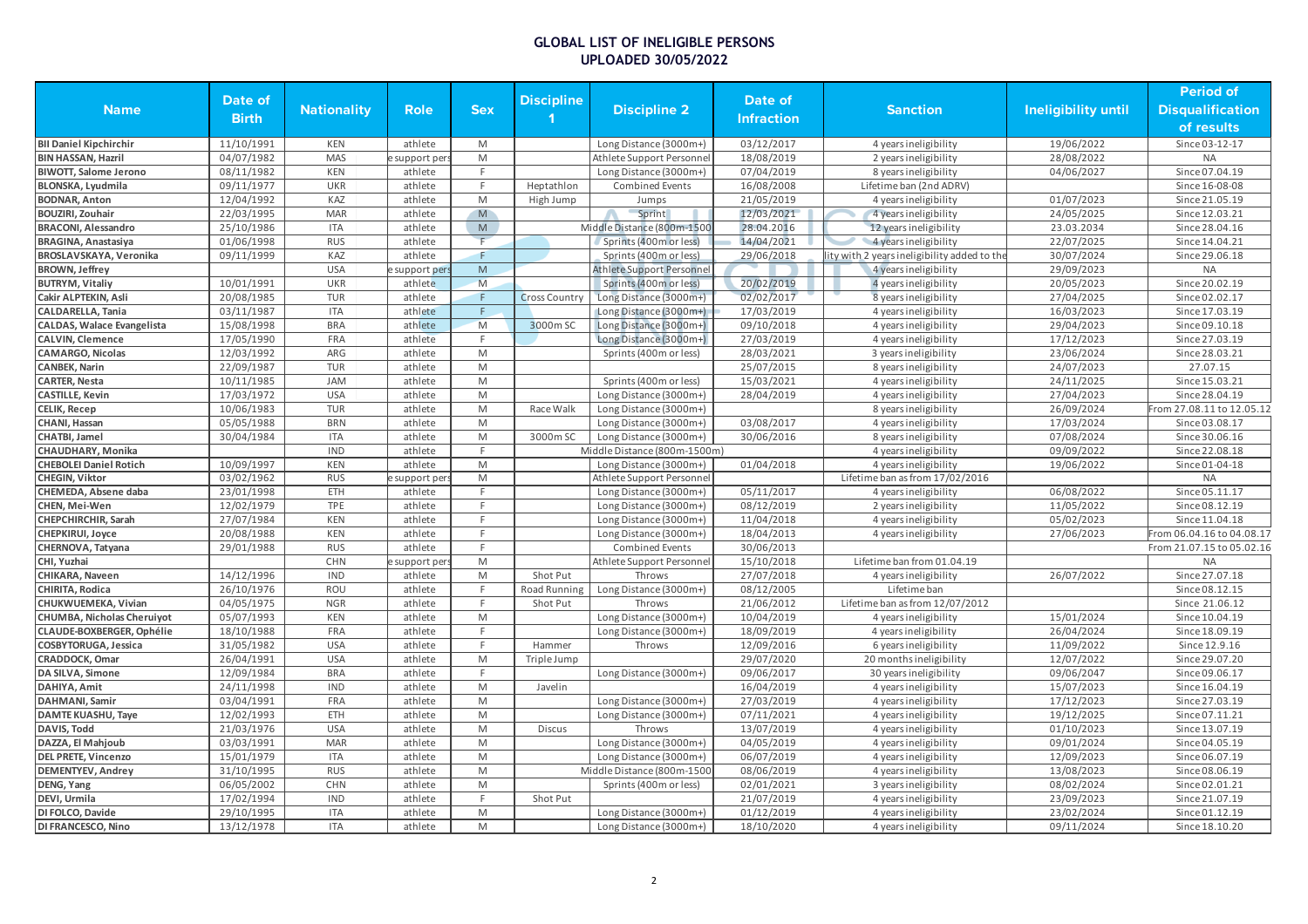|                                   |              |                    |                |                                                                                                            |                      |                                  |                   |                                             |                     | <b>Period of</b>          |
|-----------------------------------|--------------|--------------------|----------------|------------------------------------------------------------------------------------------------------------|----------------------|----------------------------------|-------------------|---------------------------------------------|---------------------|---------------------------|
| <b>Name</b>                       | Date of      | <b>Nationality</b> | <b>Role</b>    | <b>Sex</b>                                                                                                 | <b>Discipline</b>    | <b>Discipline 2</b>              | Date of           | <b>Sanction</b>                             | Ineligibility until | <b>Disqualification</b>   |
|                                   | <b>Birth</b> |                    |                |                                                                                                            |                      |                                  | <b>Infraction</b> |                                             |                     | of results                |
| <b>BII Daniel Kipchirchir</b>     | 11/10/1991   | KEN                | athlete        | M                                                                                                          |                      | Long Distance (3000m+)           | 03/12/2017        | 4 years ineligibility                       | 19/06/2022          | Since 03-12-17            |
| <b>BIN HASSAN, Hazril</b>         | 04/07/1982   | <b>MAS</b>         | support per    | M                                                                                                          |                      | Athlete Support Personnel        | 18/08/2019        | 2 years ineligibility                       | 28/08/2022          | <b>NA</b>                 |
| <b>BIWOTT, Salome Jerono</b>      | 08/11/1982   | <b>KEN</b>         | athlete        | F                                                                                                          |                      | Long Distance (3000m+)           | 07/04/2019        | 8 years ineligibility                       | 04/06/2027          | Since 07.04.19            |
| <b>BLONSKA, Lyudmila</b>          | 09/11/1977   | <b>UKR</b>         | athlete        | F.                                                                                                         | Heptathlon           | <b>Combined Events</b>           | 16/08/2008        | Lifetime ban (2nd ADRV)                     |                     | Since 16-08-08            |
| <b>BODNAR, Anton</b>              | 12/04/1992   | KAZ                | athlete        | M                                                                                                          | High Jump            | Jumps                            | 21/05/2019        | 4 years ineligibility                       | 01/07/2023          | Since 21.05.19            |
| <b>BOUZIRI, Zouhair</b>           | 22/03/1995   | <b>MAR</b>         | athlete        | M                                                                                                          |                      | Sprint                           | 12/03/2021        | 4 years ineligibility                       | 24/05/2025          | Since 12.03.21            |
| <b>BRACONI, Alessandro</b>        | 25/10/1986   | <b>ITA</b>         | athlete        | M                                                                                                          |                      | Middle Distance (800m-1500       | 28.04.2016        | 12 years ineligibility                      | 23.03.2034          | Since 28.04.16            |
| <b>BRAGINA, Anastasiya</b>        | 01/06/1998   | <b>RUS</b>         | athlete        | F.                                                                                                         |                      | Sprints (400m or less)           | 14/04/2021        | 4 years ineligibility                       | 22/07/2025          | Since 14.04.21            |
| BROSLAVSKAYA, Veronika            | 09/11/1999   | KAZ                | athlete        | F.                                                                                                         |                      | Sprints (400m or less)           | 29/06/2018        | lity with 2 years ineligibility added to th | 30/07/2024          | Since 29.06.18            |
| <b>BROWN, Jeffrey</b>             |              | <b>USA</b>         | support pers   | M                                                                                                          |                      | <b>Athlete Support Personnel</b> |                   | 4 years ineligibility                       | 29/09/2023          | <b>NA</b>                 |
| <b>BUTRYM, Vitaliy</b>            | 10/01/1991   | <b>UKR</b>         | athlete        | M                                                                                                          |                      | Sprints (400m or less)           | 20/02/2019        | 4 years ineligibility                       | 20/05/2023          | Since 20.02.19            |
| Cakir ALPTEKIN, Asli              | 20/08/1985   | <b>TUR</b>         | athlete        | F.                                                                                                         | <b>Cross Country</b> | Long Distance (3000m+)           | 02/02/2017        | 8 years ineligibility                       | 27/04/2025          | Since 02.02.17            |
| <b>CALDARELLA, Tania</b>          | 03/11/1987   | <b>ITA</b>         | athlete        | F.                                                                                                         |                      | Long Distance (3000m+)           | 17/03/2019        | 4 years ineligibility                       | 16/03/2023          | Since 17.03.19            |
| <b>CALDAS, Walace Evangelista</b> | 15/08/1998   | <b>BRA</b>         | athlete        | M                                                                                                          | 3000m SC             | Long Distance (3000m+)           | 09/10/2018        | 4 years ineligibility                       | 29/04/2023          | Since 09.10.18            |
| <b>CALVIN. Clemence</b>           | 17/05/1990   | <b>FRA</b>         | athlete        | F                                                                                                          |                      | Long Distance (3000m+)           | 27/03/2019        | 4 years ineligibility                       | 17/12/2023          | Since 27.03.19            |
| <b>CAMARGO, Nicolas</b>           | 12/03/1992   | ARG                | athlete        | M                                                                                                          |                      | Sprints (400m or less)           | 28/03/2021        | 3 years ineligibility                       | 23/06/2024          | Since 28.03.21            |
| <b>CANBEK, Narin</b>              | 22/09/1987   | <b>TUR</b>         | athlete        | M                                                                                                          |                      |                                  | 25/07/2015        | 8 years ineligibility                       | 24/07/2023          | 27.07.15                  |
| <b>CARTER, Nesta</b>              | 10/11/1985   | JAM                | athlete        | M                                                                                                          |                      | Sprints (400m or less)           | 15/03/2021        | 4 years ineligibility                       | 24/11/2025          | Since 15.03.21            |
| <b>CASTILLE, Kevin</b>            | 17/03/1972   | <b>USA</b>         | athlete        | M                                                                                                          |                      | Long Distance (3000m+)           | 28/04/2019        | 4 years ineligibility                       | 27/04/2023          | Since 28.04.19            |
| CELIK, Recep                      | 10/06/1983   | <b>TUR</b>         | athlete        | M                                                                                                          | Race Walk            | Long Distance (3000m+)           |                   | 8 years ineligibility                       | 26/09/2024          | From 27.08.11 to 12.05.12 |
| CHANI, Hassan                     | 05/05/1988   | <b>BRN</b>         | athlete        | M                                                                                                          |                      | Long Distance (3000m+)           | 03/08/2017        | 4 years ineligibility                       | 17/03/2024          | Since 03.08.17            |
| CHATBI, Jamel                     | 30/04/1984   | <b>ITA</b>         | athlete        | M                                                                                                          | 3000m SC             | Long Distance (3000m+)           | 30/06/2016        | 8 years ineligibility                       | 07/08/2024          | Since 30.06.16            |
| CHAUDHARY, Monika                 |              | <b>IND</b>         | athlete        | F                                                                                                          |                      | Middle Distance (800m-1500m)     |                   | 4 years ineligibility                       | 09/09/2022          | Since 22.08.18            |
| <b>CHEBOLEI Daniel Rotich</b>     | 10/09/1997   | <b>KEN</b>         | athlete        | M                                                                                                          |                      |                                  | 01/04/2018        |                                             | 19/06/2022          | Since 01-04-18            |
|                                   |              | <b>RUS</b>         |                |                                                                                                            |                      | Long Distance (3000m+)           |                   | 4 years ineligibility                       |                     |                           |
| CHEGIN, Viktor                    | 03/02/1962   |                    | support per    | M                                                                                                          |                      | Athlete Support Personne         |                   | Lifetime ban as from 17/02/2016             |                     | <b>NA</b>                 |
| CHEMEDA, Absene daba              | 23/01/1998   | ETH                | athlete        | F.                                                                                                         |                      | Long Distance (3000m+)           | 05/11/2017        | 4 years ineligibility                       | 06/08/2022          | Since 05.11.17            |
| CHEN, Mei-Wen                     | 12/02/1979   | <b>TPE</b>         | athlete        | F<br>E                                                                                                     |                      | Long Distance (3000m+)           | 08/12/2019        | 2 years ineligibility                       | 11/05/2022          | Since 08.12.19            |
| CHEPCHIRCHIR, Sarah               | 27/07/1984   | <b>KEN</b>         | athlete        | F.                                                                                                         |                      | Long Distance (3000m+)           | 11/04/2018        | 4 years ineligibility                       | 05/02/2023          | Since 11.04.18            |
| CHEPKIRUI, Joyce                  | 20/08/1988   | KEN                | athlete        | F                                                                                                          |                      | Long Distance (3000m+)           | 18/04/2013        | 4 years ineligibility                       | 27/06/2023          | From 06.04.16 to 04.08.17 |
| CHERNOVA, Tatyana                 | 29/01/1988   | <b>RUS</b>         | athlete        |                                                                                                            |                      | <b>Combined Events</b>           | 30/06/2013        |                                             |                     | From 21.07.15 to 05.02.16 |
| CHI, Yuzhai                       |              | <b>CHN</b>         | e support per: | M                                                                                                          |                      | Athlete Support Personnel        | 15/10/2018        | Lifetime ban from 01.04.19                  |                     | <b>NA</b>                 |
| CHIKARA, Naveen                   | 14/12/1996   | <b>IND</b>         | athlete        | M                                                                                                          | Shot Put             | Throws                           | 27/07/2018        | 4 years ineligibility                       | 26/07/2022          | Since 27.07.18            |
| CHIRITA, Rodica                   | 26/10/1976   | ROU                | athlete        | F.                                                                                                         | Road Running         | Long Distance (3000m+)           | 08/12/2005        | Lifetime ban                                |                     | Since 08.12.15            |
| CHUKWUEMEKA, Vivian               | 04/05/1975   | <b>NGR</b>         | athlete        | F.                                                                                                         | Shot Put             | Throws                           | 21/06/2012        | Lifetime ban as from 12/07/2012             |                     | Since 21.06.12            |
| CHUMBA, Nicholas Cheruiyot        | 05/07/1993   | KEN                | athlete        | $\mathsf{M}% _{T}=\mathsf{M}_{T}\!\left( a,b\right) ,\ \mathsf{M}_{T}=\mathsf{M}_{T}\!\left( a,b\right) ,$ |                      | Long Distance (3000m+)           | 10/04/2019        | 4 years ineligibility                       | 15/01/2024          | Since 10.04.19            |
| CLAUDE-BOXBERGER, Ophélie         | 18/10/1988   | <b>FRA</b>         | athlete        | F                                                                                                          |                      | Long Distance (3000m+)           | 18/09/2019        | 4 years ineligibility                       | 26/04/2024          | Since 18.09.19            |
| <b>COSBYTORUGA, Jessica</b>       | 31/05/1982   | <b>USA</b>         | athlete        | F.                                                                                                         | Hammer               | Throws                           | 12/09/2016        | 6 years ineligibility                       | 11/09/2022          | Since 12.9.16             |
| CRADDOCK, Omar                    | 26/04/1991   | <b>USA</b>         | athlete        | M                                                                                                          | <b>Triple Jump</b>   |                                  | 29/07/2020        | 20 months ineligibility                     | 12/07/2022          | Since 29.07.20            |
| DA SILVA, Simone                  | 12/09/1984   | <b>BRA</b>         | athlete        | F.                                                                                                         |                      | Long Distance (3000m+)           | 09/06/2017        | 30 years ineligibility                      | 09/06/2047          | Since 09.06.17            |
| DAHIYA, Amit                      | 24/11/1998   | <b>IND</b>         | athlete        | M                                                                                                          | Javelin              |                                  | 16/04/2019        | 4 years ineligibility                       | 15/07/2023          | Since 16.04.19            |
| DAHMANI, Samir                    | 03/04/1991   | FRA                | athlete        | $\mathsf{M}% _{T}=\mathsf{M}_{T}\!\left( a,b\right) ,\ \mathsf{M}_{T}=\mathsf{M}_{T}\!\left( a,b\right) ,$ |                      | Long Distance (3000m+)           | 27/03/2019        | 4 years ineligibility                       | 17/12/2023          | Since 27.03.19            |
| DAMTE KUASHU, Taye                | 12/02/1993   | ETH                | athlete        | M                                                                                                          |                      | Long Distance (3000m+)           | 07/11/2021        | 4 years ineligibility                       | 19/12/2025          | Since 07.11.21            |
| DAVIS, Todd                       | 21/03/1976   | <b>USA</b>         | athlete        | M                                                                                                          | <b>Discus</b>        | Throws                           | 13/07/2019        | 4 years ineligibility                       | 01/10/2023          | Since 13.07.19            |
| DAZZA, El Mahjoub                 | 03/03/1991   | <b>MAR</b>         | athlete        | M                                                                                                          |                      | Long Distance (3000m+)           | 04/05/2019        | 4 years ineligibility                       | 09/01/2024          | Since 04.05.19            |
| <b>DEL PRETE, Vincenzo</b>        | 15/01/1979   | <b>ITA</b>         | athlete        | M                                                                                                          |                      | Long Distance (3000m+)           | 06/07/2019        | 4 years ineligibility                       | 12/09/2023          | Since 06.07.19            |
| <b>DEMENTYEV, Andrey</b>          | 31/10/1995   | <b>RUS</b>         | athlete        | M                                                                                                          |                      | Middle Distance (800m-1500       | 08/06/2019        | 4 years ineligibility                       | 13/08/2023          | Since 08.06.19            |
| DENG, Yang                        | 06/05/2002   | CHN                | athlete        | M                                                                                                          |                      | Sprints (400m or less)           | 02/01/2021        | 3 years ineligibility                       | 08/02/2024          | Since 02.01.21            |
| DEVI, Urmila                      | 17/02/1994   | <b>IND</b>         | athlete        |                                                                                                            | Shot Put             |                                  | 21/07/2019        | 4 years ineligibility                       | 23/09/2023          | Since 21.07.19            |
| DI FOLCO, Davide                  | 29/10/1995   | <b>ITA</b>         | athlete        | M                                                                                                          |                      | Long Distance (3000m+)           | 01/12/2019        | 4 years ineligibility                       | 23/02/2024          | Since 01.12.19            |
| DI FRANCESCO, Nino                | 13/12/1978   | <b>ITA</b>         | athlete        | M                                                                                                          |                      | Long Distance (3000m+)           | 18/10/2020        | 4 years ineligibility                       | 09/11/2024          | Since 18.10.20            |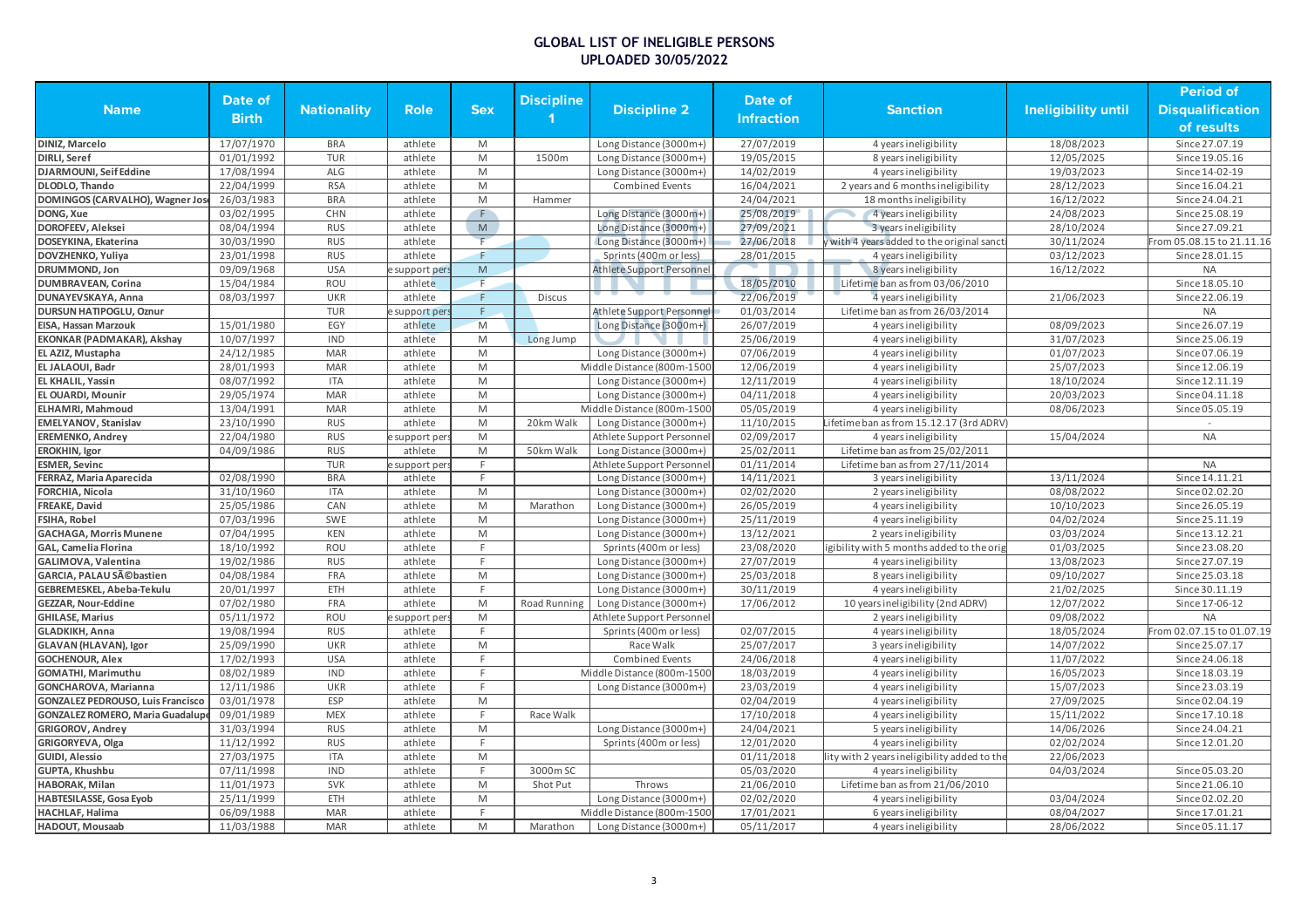|                                          |              |                    |                         |                                                                                                            |                   |                            |                   |                                              |                            | <b>Period of</b>          |
|------------------------------------------|--------------|--------------------|-------------------------|------------------------------------------------------------------------------------------------------------|-------------------|----------------------------|-------------------|----------------------------------------------|----------------------------|---------------------------|
| <b>Name</b>                              | Date of      | <b>Nationality</b> | <b>Role</b>             | <b>Sex</b>                                                                                                 | <b>Discipline</b> | <b>Discipline 2</b>        | Date of           | <b>Sanction</b>                              | <b>Ineligibility until</b> | <b>Disqualification</b>   |
|                                          | <b>Birth</b> |                    |                         |                                                                                                            |                   |                            | <b>Infraction</b> |                                              |                            | of results                |
| DINIZ, Marcelo                           | 17/07/1970   | <b>BRA</b>         | athlete                 | M                                                                                                          |                   | Long Distance (3000m+)     | 27/07/2019        | 4 years ineligibility                        | 18/08/2023                 | Since 27.07.19            |
| DIRLI, Seref                             | 01/01/1992   | <b>TUR</b>         | athlete                 | M                                                                                                          | 1500m             | Long Distance (3000m+)     | 19/05/2015        | 8 years ineligibility                        | 12/05/2025                 | Since 19.05.16            |
| DJARMOUNI, Seif Eddine                   | 17/08/1994   | <b>ALG</b>         | athlete                 | M                                                                                                          |                   | Long Distance (3000m+)     | 14/02/2019        | 4 years ineligibility                        | 19/03/2023                 | Since 14-02-19            |
| DLODLO, Thando                           | 22/04/1999   | <b>RSA</b>         | athlete                 | M                                                                                                          |                   | <b>Combined Events</b>     | 16/04/2021        | 2 years and 6 months ineligibility           | 28/12/2023                 | Since 16.04.21            |
| DOMINGOS (CARVALHO), Wagner Jose         | 26/03/1983   | <b>BRA</b>         | athlete                 | M                                                                                                          | Hammer            |                            | 24/04/2021        | 18 months ineligibility                      | 16/12/2022                 | Since 24.04.21            |
| DONG, Xue                                | 03/02/1995   | CHN                | athlete                 | F.                                                                                                         |                   | Long Distance (3000m+)     | 25/08/2019        | 4 years ineligibility                        | 24/08/2023                 | Since 25.08.19            |
| DOROFEEV, Aleksei                        | 08/04/1994   | <b>RUS</b>         | athlete                 | $\overline{\mathsf{M}}$                                                                                    |                   | Long Distance (3000m+)     | 27/09/2021        | 3 years ineligibility                        | 28/10/2024                 | Since 27.09.21            |
| DOSEYKINA, Ekaterina                     | 30/03/1990   | <b>RUS</b>         | athlete                 | F                                                                                                          |                   | Long Distance (3000m+)     | 27/06/2018        | with 4 years added to the original sanct     | 30/11/2024                 | From 05.08.15 to 21.11.16 |
| DOVZHENKO, Yuliya                        | 23/01/1998   | <b>RUS</b>         | athlete                 | F.                                                                                                         |                   | Sprints (400m or less)     | 28/01/2015        | 4 years ineligibility                        | 03/12/2023                 | Since 28.01.15            |
| DRUMMOND, Jon                            | 09/09/1968   | <b>USA</b>         | support pers            | M                                                                                                          |                   | Athlete Support Personnel  |                   | 8 years ineligibility                        | 16/12/2022                 | <b>NA</b>                 |
| <b>DUMBRAVEAN, Corina</b>                | 15/04/1984   | <b>ROU</b>         | athlete                 | F                                                                                                          |                   |                            | 18/05/2010        | Lifetime ban as from 03/06/2010              |                            | Since 18.05.10            |
| DUNAYEVSKAYA, Anna                       | 08/03/1997   | <b>UKR</b>         | athlete                 | F                                                                                                          | <b>Discus</b>     |                            | 22/06/2019        | 4 years ineligibility                        | 21/06/2023                 | Since 22.06.19            |
| DURSUN HATIPOGLU, Oznur                  |              | <b>TUR</b>         | support per             | F.                                                                                                         |                   | Athlete Support Personnel  | 01/03/2014        | Lifetime ban as from 26/03/2014              |                            | <b>NA</b>                 |
| EISA, Hassan Marzouk                     | 15/01/1980   | EGY                | athlete                 | M                                                                                                          |                   | Long Distance (3000m+)     | 26/07/2019        | 4 years ineligibility                        | 08/09/2023                 | Since 26.07.19            |
| EKONKAR (PADMAKAR), Akshay               | 10/07/1997   | <b>IND</b>         | athlete                 | M                                                                                                          | Long Jump         |                            | 25/06/2019        | 4 years ineligibility                        | 31/07/2023                 | Since 25.06.19            |
| EL AZIZ, Mustapha                        | 24/12/1985   | <b>MAR</b>         | athlete                 | M                                                                                                          |                   | Long Distance (3000m+)     | 07/06/2019        | 4 years ineligibility                        | 01/07/2023                 | Since 07.06.19            |
| EL JALAOUI, Badr                         | 28/01/1993   | <b>MAR</b>         | athlete                 | M                                                                                                          |                   | Middle Distance (800m-1500 | 12/06/2019        | 4 years ineligibility                        | 25/07/2023                 | Since 12.06.19            |
| EL KHALIL, Yassin                        | 08/07/1992   | <b>ITA</b>         | athlete                 | M                                                                                                          |                   | Long Distance (3000m+)     | 12/11/2019        | 4 years ineligibility                        | 18/10/2024                 | Since 12.11.19            |
| EL OUARDI, Mounir                        | 29/05/1974   | <b>MAR</b>         | athlete                 | M                                                                                                          |                   | Long Distance (3000m+)     | 04/11/2018        | 4 years ineligibility                        | 20/03/2023                 | Since 04.11.18            |
| ELHAMRI, Mahmoud                         | 13/04/1991   | <b>MAR</b>         | athlete                 | M                                                                                                          |                   | Middle Distance (800m-1500 | 05/05/2019        | 4 years ineligibility                        | 08/06/2023                 | Since 05.05.19            |
| <b>EMELYANOV, Stanislav</b>              | 23/10/1990   | <b>RUS</b>         | athlete                 | M                                                                                                          | 20km Walk         | Long Distance (3000m+)     | 11/10/2015        | Lifetime ban as from 15.12.17 (3rd ADRV)     |                            |                           |
| <b>EREMENKO, Andrey</b>                  | 22/04/1980   | <b>RUS</b>         |                         | M                                                                                                          |                   |                            | 02/09/2017        | 4 years ineligibility                        | 15/04/2024                 | <b>NA</b>                 |
|                                          | 04/09/1986   | <b>RUS</b>         | support per:<br>athlete | M                                                                                                          | 50km Walk         | Athlete Support Personnel  | 25/02/2011        | Lifetime ban as from 25/02/2011              |                            |                           |
| <b>EROKHIN, Igor</b>                     |              | <b>TUR</b>         |                         | F                                                                                                          |                   | Long Distance (3000m+)     |                   |                                              |                            | <b>NA</b>                 |
| <b>ESMER, Sevinc</b>                     |              |                    | support per             | F.                                                                                                         |                   | Athlete Support Personnel  | 01/11/2014        | Lifetime ban as from 27/11/2014              |                            |                           |
| FERRAZ, Maria Aparecida                  | 02/08/1990   | <b>BRA</b>         | athlete                 |                                                                                                            |                   | Long Distance (3000m+)     | 14/11/2021        | 3 years ineligibility                        | 13/11/2024                 | Since 14.11.21            |
| FORCHIA, Nicola                          | 31/10/1960   | <b>ITA</b>         | athlete                 | M                                                                                                          |                   | Long Distance (3000m+)     | 02/02/2020        | 2 years ineligibility                        | 08/08/2022                 | Since 02.02.20            |
| FREAKE, David                            | 25/05/1986   | CAN                | athlete                 | M                                                                                                          | Marathon          | Long Distance (3000m+)     | 26/05/2019        | 4 years ineligibility                        | 10/10/2023                 | Since 26.05.19            |
| <b>FSIHA, Robel</b>                      | 07/03/1996   | SWE                | athlete                 | M                                                                                                          |                   | Long Distance (3000m+)     | 25/11/2019        | 4 years ineligibility                        | 04/02/2024                 | Since 25.11.19            |
| <b>GACHAGA, Morris Munene</b>            | 07/04/1995   | KEN                | athlete                 | $\mathsf{M}% _{T}=\mathsf{M}_{T}\!\left( a,b\right) ,\ \mathsf{M}_{T}=\mathsf{M}_{T}\!\left( a,b\right) ,$ |                   | Long Distance (3000m+)     | 13/12/2021        | 2 years ineligibility                        | 03/03/2024                 | Since 13.12.21            |
| GAL, Camelia Florina                     | 18/10/1992   | ROU                | athlete                 | F.                                                                                                         |                   | Sprints (400m or less)     | 23/08/2020        | igibility with 5 months added to the orig    | 01/03/2025                 | Since 23.08.20            |
| GALIMOVA, Valentina                      | 19/02/1986   | <b>RUS</b>         | athlete                 | F.                                                                                                         |                   | Long Distance (3000m+)     | 27/07/2019        | 4 years ineligibility                        | 13/08/2023                 | Since 27.07.19            |
| GARCIA, PALAU Sébastien                  | 04/08/1984   | FRA                | athlete                 | M                                                                                                          |                   | Long Distance (3000m+)     | 25/03/2018        | 8 years ineligibility                        | 09/10/2027                 | Since 25.03.18            |
| GEBREMESKEL, Abeba-Tekulu                | 20/01/1997   | ETH                | athlete                 | F.                                                                                                         |                   | Long Distance (3000m+)     | 30/11/2019        | 4 years ineligibility                        | 21/02/2025                 | Since 30.11.19            |
| GEZZAR, Nour-Eddine                      | 07/02/1980   | FRA                | athlete                 | M                                                                                                          | Road Running      | Long Distance (3000m+)     | 17/06/2012        | 10 years ineligibility (2nd ADRV)            | 12/07/2022                 | Since 17-06-12            |
| <b>GHILASE, Marius</b>                   | 05/11/1972   | ROU                | support per             | M                                                                                                          |                   | Athlete Support Personnel  |                   | 2 years ineligibility                        | 09/08/2022                 | <b>NA</b>                 |
| GLADKIKH, Anna                           | 19/08/1994   | <b>RUS</b>         | athlete                 | E                                                                                                          |                   | Sprints (400m or less)     | 02/07/2015        | 4 years ineligibility                        | 18/05/2024                 | From 02.07.15 to 01.07.19 |
| GLAVAN (HLAVAN), Igor                    | 25/09/1990   | <b>UKR</b>         | athlete                 | M                                                                                                          |                   | Race Walk                  | 25/07/2017        | 3 years ineligibility                        | 14/07/2022                 | Since 25.07.17            |
| <b>GOCHENOUR, Alex</b>                   | 17/02/1993   | <b>USA</b>         | athlete                 | F.                                                                                                         |                   | <b>Combined Events</b>     | 24/06/2018        | 4 years ineligibility                        | 11/07/2022                 | Since 24.06.18            |
| GOMATHI, Marimuthu                       | 08/02/1989   | <b>IND</b>         | athlete                 | F                                                                                                          |                   | Middle Distance (800m-1500 | 18/03/2019        | 4 years ineligibility                        | 16/05/2023                 | Since 18.03.19            |
| GONCHAROVA, Marianna                     | 12/11/1986   | <b>UKR</b>         | athlete                 | F                                                                                                          |                   | Long Distance (3000m+)     | 23/03/2019        | 4 years ineligibility                        | 15/07/2023                 | Since 23.03.19            |
| <b>GONZALEZ PEDROUSO, Luis Francisco</b> | 03/01/1978   | <b>ESP</b>         | athlete                 | M                                                                                                          |                   |                            | 02/04/2019        | 4 years ineligibility                        | 27/09/2025                 | Since 02.04.19            |
| <b>GONZALEZ ROMERO, Maria Guadalupo</b>  | 09/01/1989   | <b>MEX</b>         | athlete                 | F.                                                                                                         | Race Walk         |                            | 17/10/2018        | 4 years ineligibility                        | 15/11/2022                 | Since 17.10.18            |
| <b>GRIGOROV, Andrey</b>                  | 31/03/1994   | <b>RUS</b>         | athlete                 | M                                                                                                          |                   | Long Distance (3000m+)     | 24/04/2021        | 5 years ineligibility                        | 14/06/2026                 | Since 24.04.21            |
| GRIGORYEVA, Olga                         | 11/12/1992   | <b>RUS</b>         | athlete                 | F                                                                                                          |                   | Sprints (400m or less)     | 12/01/2020        | 4 years ineligibility                        | 02/02/2024                 | Since 12.01.20            |
| GUIDI, Alessio                           | 27/03/1975   | <b>ITA</b>         | athlete                 | M                                                                                                          |                   |                            | 01/11/2018        | lity with 2 years ineligibility added to the | 22/06/2023                 |                           |
| GUPTA, Khushbu                           | 07/11/1998   | <b>IND</b>         | athlete                 | F.                                                                                                         | 3000m SC          |                            | 05/03/2020        | 4 years ineligibility                        | 04/03/2024                 | Since 05.03.20            |
| HABORAK, Milan                           | 11/01/1973   | <b>SVK</b>         | athlete                 | M                                                                                                          | Shot Put          | Throws                     | 21/06/2010        | Lifetime ban as from 21/06/2010              |                            | Since 21.06.10            |
| HABTESILASSE, Gosa Eyob                  | 25/11/1999   | ETH                | athlete                 | M                                                                                                          |                   | Long Distance (3000m+)     | 02/02/2020        | 4 years ineligibility                        | 03/04/2024                 | Since 02.02.20            |
| HACHLAF, Halima                          | 06/09/1988   | <b>MAR</b>         | athlete                 | F.                                                                                                         |                   | Middle Distance (800m-1500 | 17/01/2021        | 6 years ineligibility                        | 08/04/2027                 | Since 17.01.21            |
| HADOUT, Mousaab                          | 11/03/1988   | <b>MAR</b>         | athlete                 | M                                                                                                          | Marathon          | Long Distance (3000m+)     | 05/11/2017        | 4 years ineligibility                        | 28/06/2022                 | Since 05.11.17            |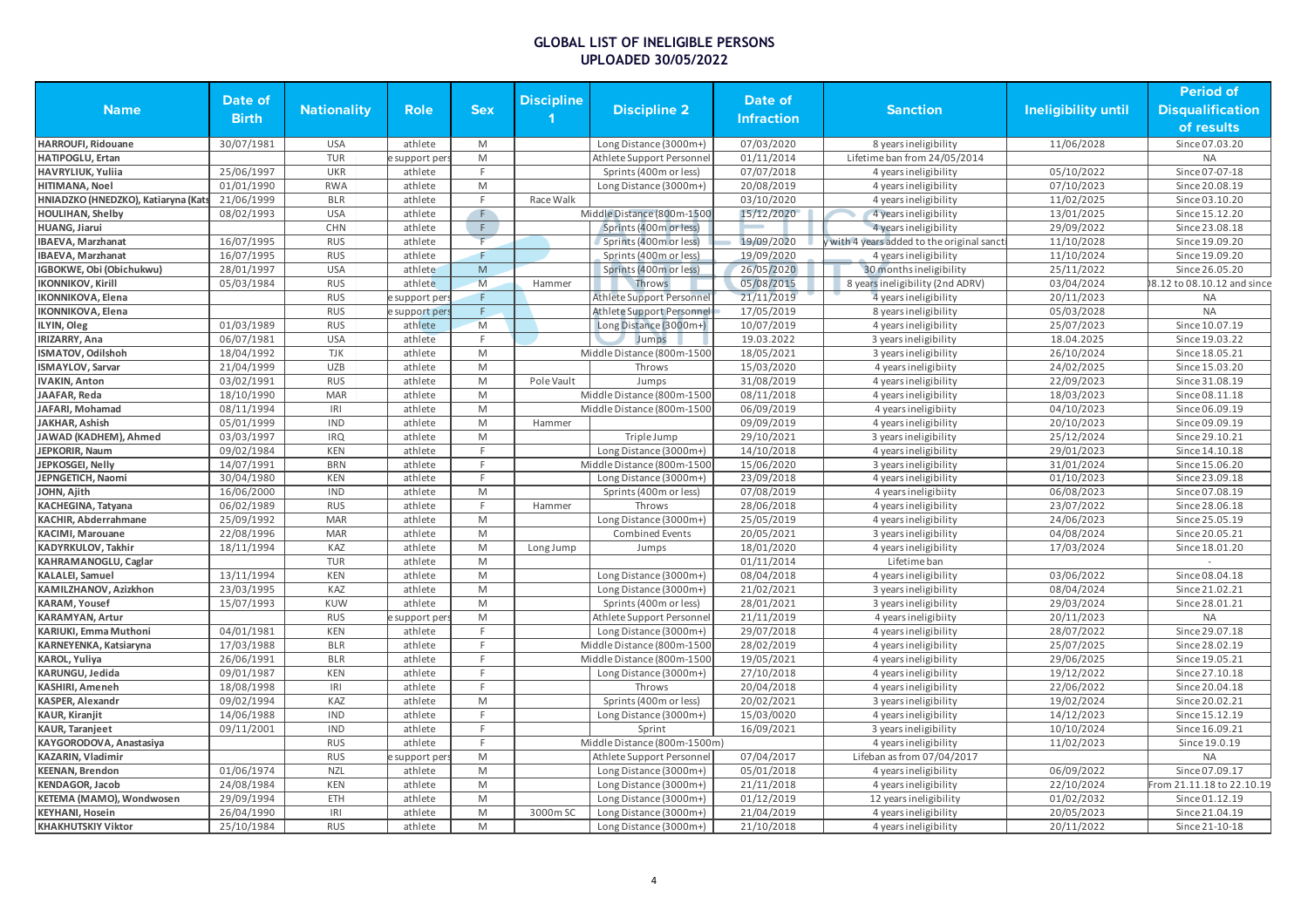|                                     |              |                    |               |                                                                                                            |                   |                              |            |                                            |                     | <b>Period of</b>            |
|-------------------------------------|--------------|--------------------|---------------|------------------------------------------------------------------------------------------------------------|-------------------|------------------------------|------------|--------------------------------------------|---------------------|-----------------------------|
| <b>Name</b>                         | Date of      | <b>Nationality</b> | <b>Role</b>   | <b>Sex</b>                                                                                                 | <b>Discipline</b> | <b>Discipline 2</b>          | Date of    | Sanction                                   | Ineligibility until | <b>Disqualification</b>     |
|                                     | <b>Birth</b> |                    |               |                                                                                                            |                   |                              | Infraction |                                            |                     |                             |
|                                     |              |                    |               |                                                                                                            |                   |                              |            |                                            |                     | of results                  |
| <b>HARROUFI, Ridouane</b>           | 30/07/1981   | <b>USA</b>         | athlete       | M                                                                                                          |                   | Long Distance (3000m+)       | 07/03/2020 | 8 years ineligibility                      | 11/06/2028          | Since 07.03.20              |
| HATIPOGLU, Ertan                    |              | <b>TUR</b>         | e support per | M                                                                                                          |                   | Athlete Support Personnel    | 01/11/2014 | Lifetime ban from 24/05/2014               |                     | <b>NA</b>                   |
| <b>HAVRYLIUK, Yuliia</b>            | 25/06/1997   | UKR                | athlete       | F                                                                                                          |                   | Sprints (400m or less)       | 07/07/2018 | 4 years ineligibility                      | 05/10/2022          | Since 07-07-18              |
| HITIMANA, Noel                      | 01/01/1990   | <b>RWA</b>         | athlete       | M                                                                                                          |                   | Long Distance (3000m+)       | 20/08/2019 | 4 years ineligibility                      | 07/10/2023          | Since 20.08.19              |
| HNIADZKO (HNEDZKO), Katiaryna (Kats | 21/06/1999   | <b>BLR</b>         | athlete       | F                                                                                                          | Race Walk         |                              | 03/10/2020 | 4 years ineligibility                      | 11/02/2025          | Since 03.10.20              |
| <b>HOULIHAN, Shelby</b>             | 08/02/1993   | <b>USA</b>         | athlete       | F                                                                                                          |                   | Middle Distance (800m-1500   | 15/12/2020 | 4 years ineligibility                      | 13/01/2025          | Since 15.12.20              |
| HUANG, Jiarui                       |              | CHN                | athlete       | $\mathsf F$                                                                                                |                   | Sprints (400m or less)       |            | 4 years ineligibility                      | 29/09/2022          | Since 23.08.18              |
| <b>IBAEVA, Marzhanat</b>            | 16/07/1995   | <b>RUS</b>         | athlete       | F                                                                                                          |                   | Sprints (400m or less)       | 19/09/2020 | y with 4 years added to the original sanct | 11/10/2028          | Since 19.09.20              |
| <b>IBAEVA, Marzhanat</b>            | 16/07/1995   | <b>RUS</b>         | athlete       | F                                                                                                          |                   | Sprints (400m or less)       | 19/09/2020 | 4 years ineligibility                      | 11/10/2024          | Since 19.09.20              |
| IGBOKWE, Obi (Obichukwu)            | 28/01/1997   | <b>USA</b>         | athlete       | $\mathsf{M}% _{T}=\mathsf{M}_{T}\!\left( a,b\right) ,\ \mathsf{M}_{T}=\mathsf{M}_{T}\!\left( a,b\right) ,$ |                   | Sprints (400m or less)       | 26/05/2020 | 30 months ineligibility                    | 25/11/2022          | Since 26.05.20              |
| <b>IKONNIKOV, Kirill</b>            | 05/03/1984   | <b>RUS</b>         | athlete       | M                                                                                                          | Hammer            | Throws                       | 05/08/2015 | 8 years ineligibility (2nd ADRV)           | 03/04/2024          | 08.12 to 08.10.12 and since |
| <b>IKONNIKOVA</b> , Elena           |              | <b>RUS</b>         | e support per | F                                                                                                          |                   | Athlete Support Personne     | 21/11/2019 | 4 years ineligibility                      | 20/11/2023          | <b>NA</b>                   |
| <b>IKONNIKOVA</b> , Elena           |              | <b>RUS</b>         | e support per | F                                                                                                          |                   | Athlete Support Personnel    | 17/05/2019 | 8 years ineligibility                      | 05/03/2028          | <b>NA</b>                   |
| ILYIN, Oleg                         | 01/03/1989   | <b>RUS</b>         | athlete       | M                                                                                                          |                   | Long Distance (3000m+)       | 10/07/2019 | 4 years ineligibility                      | 25/07/2023          | Since 10.07.19              |
| <b>IRIZARRY, Ana</b>                | 06/07/1981   | <b>USA</b>         | athlete       | F                                                                                                          |                   | Jumps                        | 19.03.2022 | 3 years ineligibility                      | 18.04.2025          | Since 19.03.22              |
| ISMATOV, Odilshoh                   | 18/04/1992   | <b>TJK</b>         | athlete       | M                                                                                                          |                   | Middle Distance (800m-1500   | 18/05/2021 | 3 years ineligibility                      | 26/10/2024          | Since 18.05.21              |
| <b>ISMAYLOV, Sarvar</b>             | 21/04/1999   | <b>UZB</b>         | athlete       | M                                                                                                          |                   | Throws                       | 15/03/2020 | 4 years ineligibiity                       | 24/02/2025          | Since 15.03.20              |
| <b>IVAKIN, Anton</b>                | 03/02/1991   | <b>RUS</b>         | athlete       | M                                                                                                          | Pole Vault        | Jumps                        | 31/08/2019 | 4 years ineligibility                      | 22/09/2023          | Since 31.08.19              |
| JAAFAR, Reda                        | 18/10/1990   | <b>MAR</b>         | athlete       | M                                                                                                          |                   | Middle Distance (800m-1500   | 08/11/2018 | 4 years ineligibility                      | 18/03/2023          | Since 08.11.18              |
| JAFARI, Mohamad                     | 08/11/1994   | IRI                | athlete       | M                                                                                                          |                   | Middle Distance (800m-1500   | 06/09/2019 | 4 years ineligibiity                       | 04/10/2023          | Since 06.09.19              |
| JAKHAR, Ashish                      | 05/01/1999   | <b>IND</b>         | athlete       | $\mathsf{M}% _{T}=\mathsf{M}_{T}\!\left( a,b\right) ,\ \mathsf{M}_{T}=\mathsf{M}_{T}\!\left( a,b\right) ,$ | Hammer            |                              | 09/09/2019 | 4 years ineligibility                      | 20/10/2023          | Since 09.09.19              |
| JAWAD (KADHEM), Ahmed               | 03/03/1997   | <b>IRQ</b>         | athlete       | M                                                                                                          |                   | Triple Jump                  | 29/10/2021 | 3 years ineligibility                      | 25/12/2024          | Since 29.10.21              |
| JEPKORIR, Naum                      | 09/02/1984   | <b>KEN</b>         | athlete       | F.                                                                                                         |                   | Long Distance (3000m+)       | 14/10/2018 | 4 years ineligibility                      | 29/01/2023          | Since 14.10.18              |
| JEPKOSGEI, Nelly                    | 14/07/1991   | <b>BRN</b>         | athlete       | F                                                                                                          |                   | Middle Distance (800m-1500   | 15/06/2020 | 3 years ineligibility                      | 31/01/2024          | Since 15.06.20              |
| JEPNGETICH, Naomi                   | 30/04/1980   | <b>KEN</b>         | athlete       | F                                                                                                          |                   | Long Distance (3000m+)       | 23/09/2018 | 4 years ineligibility                      | 01/10/2023          | Since 23.09.18              |
| JOHN, Ajith                         | 16/06/2000   | <b>IND</b>         | athlete       | M                                                                                                          |                   | Sprints (400m or less)       | 07/08/2019 | 4 years ineligibiity                       | 06/08/2023          | Since 07.08.19              |
| KACHEGINA, Tatyana                  | 06/02/1989   | <b>RUS</b>         | athlete       | F.                                                                                                         | Hammer            | Throws                       | 28/06/2018 | 4 years ineligibility                      | 23/07/2022          | Since 28.06.18              |
| <b>KACHIR, Abderrahmane</b>         | 25/09/1992   | <b>MAR</b>         | athlete       | $\mathsf{M}% _{T}=\mathsf{M}_{T}\!\left( a,b\right) ,\ \mathsf{M}_{T}=\mathsf{M}_{T}\!\left( a,b\right) ,$ |                   | Long Distance (3000m+)       | 25/05/2019 | 4 years ineligibility                      | 24/06/2023          | Since 25.05.19              |
| <b>KACIMI, Marouane</b>             | 22/08/1996   | <b>MAR</b>         | athlete       | M                                                                                                          |                   | <b>Combined Events</b>       | 20/05/2021 | 3 years ineligibility                      | 04/08/2024          | Since 20.05.21              |
| KADYRKULOV, Takhir                  | 18/11/1994   | KAZ                | athlete       | M                                                                                                          | Long Jump         | Jumps                        | 18/01/2020 | 4 years ineligibility                      | 17/03/2024          | Since 18.01.20              |
| KAHRAMANOGLU, Caglar                |              | <b>TUR</b>         | athlete       | M                                                                                                          |                   |                              | 01/11/2014 | Lifetime ban                               |                     |                             |
| <b>KALALEI, Samuel</b>              | 13/11/1994   | <b>KEN</b>         | athlete       | M                                                                                                          |                   | Long Distance (3000m+)       | 08/04/2018 | 4 years ineligibility                      | 03/06/2022          | Since 08.04.18              |
| KAMILZHANOV, Azizkhon               | 23/03/1995   | KAZ                | athlete       | $\mathsf{M}% _{T}=\mathsf{M}_{T}\!\left( a,b\right) ,\ \mathsf{M}_{T}=\mathsf{M}_{T}\!\left( a,b\right) ,$ |                   | Long Distance (3000m+)       | 21/02/2021 | 3 years ineligibility                      | 08/04/2024          | Since 21.02.21              |
| <b>KARAM, Yousef</b>                | 15/07/1993   | KUW                | athlete       | $\mathsf{M}% _{T}=\mathsf{M}_{T}\!\left( a,b\right) ,\ \mathsf{M}_{T}=\mathsf{M}_{T}\!\left( a,b\right) ,$ |                   | Sprints (400m or less)       | 28/01/2021 | 3 years ineligibility                      | 29/03/2024          | Since 28.01.21              |
| <b>KARAMYAN, Artur</b>              |              | <b>RUS</b>         | support per   | $\mathsf{M}% _{T}=\mathsf{M}_{T}\!\left( a,b\right) ,\ \mathsf{M}_{T}=\mathsf{M}_{T}\!\left( a,b\right) ,$ |                   | Athlete Support Personne     | 21/11/2019 | 4 years ineligibiity                       | 20/11/2023          | <b>NA</b>                   |
| KARIUKI, Emma Muthoni               | 04/01/1981   | <b>KEN</b>         | athlete       | F                                                                                                          |                   | Long Distance (3000m+)       | 29/07/2018 | 4 years ineligibility                      | 28/07/2022          | Since 29.07.18              |
| KARNEYENKA, Katsiaryna              | 17/03/1988   | <b>BLR</b>         | athlete       | F                                                                                                          |                   | Middle Distance (800m-1500   | 28/02/2019 | 4 years ineligibility                      | 25/07/2025          | Since 28.02.19              |
| <b>KAROL, Yuliya</b>                | 26/06/1991   | <b>BLR</b>         | athlete       | F                                                                                                          |                   | Middle Distance (800m-1500   | 19/05/2021 | 4 years ineligibility                      | 29/06/2025          | Since 19.05.21              |
| KARUNGU, Jedida                     | 09/01/1987   | <b>KEN</b>         | athlete       | F                                                                                                          |                   | Long Distance (3000m+)       | 27/10/2018 | 4 years ineligibility                      | 19/12/2022          | Since 27.10.18              |
| <b>KASHIRI, Ameneh</b>              | 18/08/1998   | IRI                | athlete       | F                                                                                                          |                   | Throws                       | 20/04/2018 | 4 years ineligibility                      | 22/06/2022          | Since 20.04.18              |
| <b>KASPER, Alexandr</b>             | 09/02/1994   | KAZ                | athlete       | $\mathsf{M}% _{T}=\mathsf{M}_{T}\!\left( a,b\right) ,\ \mathsf{M}_{T}=\mathsf{M}_{T}\!\left( a,b\right) ,$ |                   | Sprints (400m or less)       | 20/02/2021 | 3 years ineligibility                      | 19/02/2024          | Since 20.02.21              |
| <b>KAUR, Kiranjit</b>               | 14/06/1988   | <b>IND</b>         | athlete       | $\mathsf F$                                                                                                |                   | Long Distance (3000m+)       | 15/03/0020 | 4 years ineligibility                      | 14/12/2023          | Since 15.12.19              |
| <b>KAUR, Taranjeet</b>              | 09/11/2001   | <b>IND</b>         | athlete       | F                                                                                                          |                   | Sprint                       | 16/09/2021 | 3 years ineligibility                      | 10/10/2024          | Since 16.09.21              |
| KAYGORODOVA, Anastasiya             |              | <b>RUS</b>         | athlete       | F                                                                                                          |                   | Middle Distance (800m-1500m) |            | 4 years ineligibility                      | 11/02/2023          | Since 19.0.19               |
| KAZARIN, Vladimir                   |              | <b>RUS</b>         | support per   | M                                                                                                          |                   | Athlete Support Personne     | 07/04/2017 | Lifeban as from 07/04/2017                 |                     | <b>NA</b>                   |
| <b>KEENAN, Brendon</b>              | 01/06/1974   | <b>NZL</b>         | athlete       | M                                                                                                          |                   | Long Distance (3000m+)       | 05/01/2018 | 4 years ineligibility                      | 06/09/2022          | Since 07.09.17              |
| <b>KENDAGOR, Jacob</b>              | 24/08/1984   | KEN                | athlete       | M                                                                                                          |                   | Long Distance (3000m+)       | 21/11/2018 | 4 years ineligibility                      | 22/10/2024          | rom 21.11.18 to 22.10.19    |
| KETEMA (MAMO), Wondwosen            | 29/09/1994   | ETH                | athlete       | M                                                                                                          |                   | Long Distance (3000m+)       | 01/12/2019 | 12 years ineligibility                     | 01/02/2032          | Since 01.12.19              |
| <b>KEYHANI, Hosein</b>              | 26/04/1990   | IRI                | athlete       | $\mathsf{M}% _{T}=\mathsf{M}_{T}\!\left( a,b\right) ,\ \mathsf{M}_{T}=\mathsf{M}_{T}\!\left( a,b\right) ,$ | 3000m SC          | Long Distance (3000m+)       | 21/04/2019 | 4 years ineligibility                      | 20/05/2023          | Since 21.04.19              |
| <b>KHAKHUTSKIY Viktor</b>           | 25/10/1984   | <b>RUS</b>         | athlete       | M                                                                                                          |                   | Long Distance (3000m+)       | 21/10/2018 | 4 years ineligibility                      | 20/11/2022          | Since 21-10-18              |
|                                     |              |                    |               |                                                                                                            |                   |                              |            |                                            |                     |                             |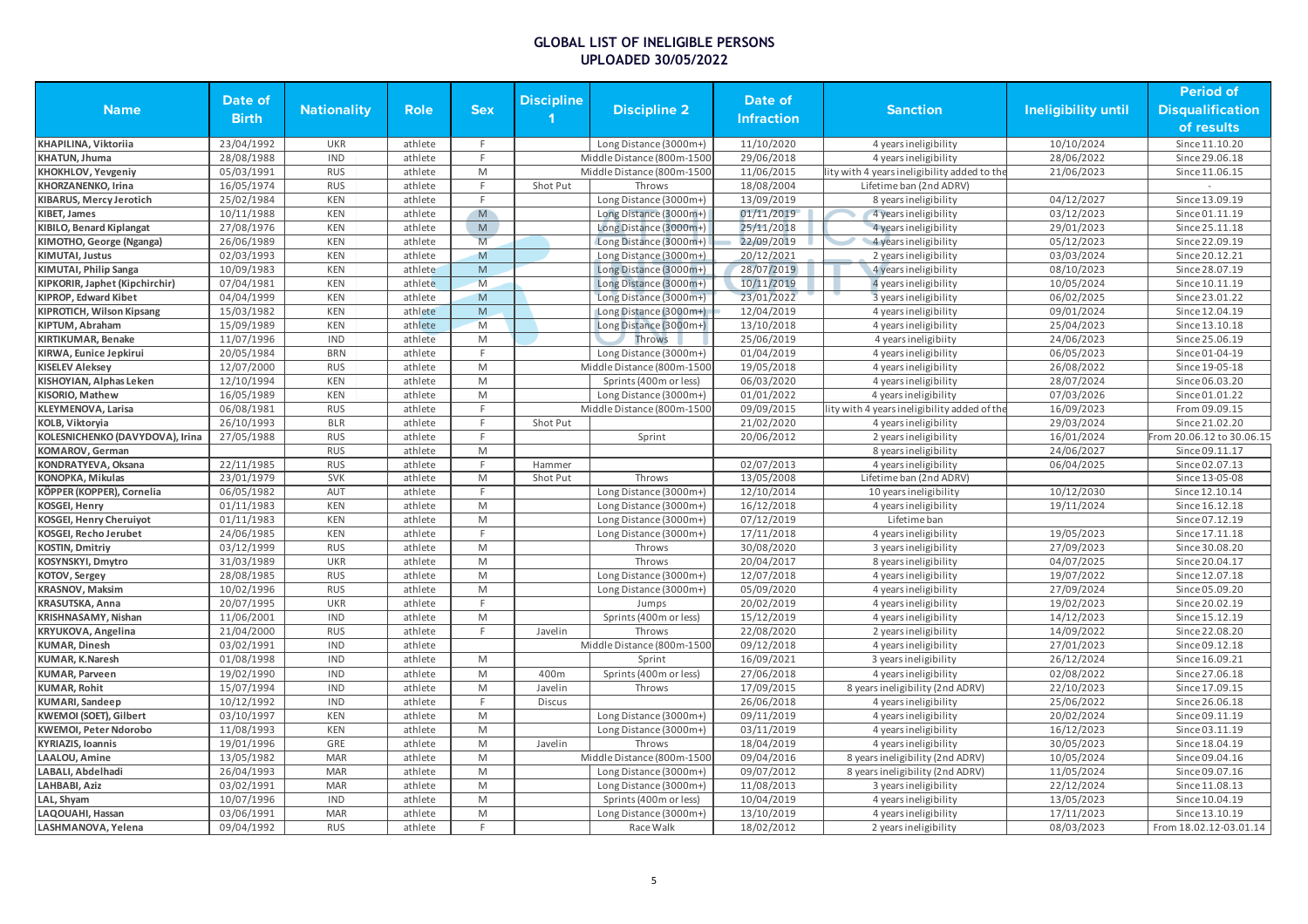|                                 |              |                    |             |                                                                                                            |                   |                            |                   |                                              |                            | <b>Period of</b>          |
|---------------------------------|--------------|--------------------|-------------|------------------------------------------------------------------------------------------------------------|-------------------|----------------------------|-------------------|----------------------------------------------|----------------------------|---------------------------|
| <b>Name</b>                     | Date of      | <b>Nationality</b> | <b>Role</b> | <b>Sex</b>                                                                                                 | <b>Discipline</b> | <b>Discipline 2</b>        | Date of           | <b>Sanction</b>                              | <b>Ineligibility until</b> | <b>Disqualification</b>   |
|                                 | <b>Birth</b> |                    |             |                                                                                                            |                   |                            | <b>Infraction</b> |                                              |                            | of results                |
| KHAPILINA, Viktoriia            | 23/04/1992   | <b>UKR</b>         | athlete     | F.                                                                                                         |                   | Long Distance (3000m+)     | 11/10/2020        | 4 years ineligibility                        | 10/10/2024                 | Since 11.10.20            |
| KHATUN, Jhuma                   | 28/08/1988   | <b>IND</b>         | athlete     | F.                                                                                                         |                   | Middle Distance (800m-1500 | 29/06/2018        | 4 years ineligibility                        | 28/06/2022                 | Since 29.06.18            |
| KHOKHLOV, Yevgeniy              | 05/03/1991   | <b>RUS</b>         | athlete     | M                                                                                                          |                   | Middle Distance (800m-1500 | 11/06/2015        | ity with 4 years ineligibility added to the  | 21/06/2023                 | Since 11.06.15            |
| KHORZANENKO, Irina              | 16/05/1974   | <b>RUS</b>         | athlete     | F.                                                                                                         | Shot Put          | Throws                     | 18/08/2004        | Lifetime ban (2nd ADRV)                      |                            |                           |
| KIBARUS, Mercy Jerotich         | 25/02/1984   | <b>KEN</b>         | athlete     | F.                                                                                                         |                   | Long Distance (3000m+)     | 13/09/2019        | 8 years ineligibility                        | 04/12/2027                 | Since 13.09.19            |
| KIBET, James                    | 10/11/1988   | <b>KEN</b>         | athlete     | M                                                                                                          |                   | Long Distance (3000m+)     | 01/11/2019        | 4 years ineligibility                        | 03/12/2023                 | Since 01.11.19            |
| <b>KIBILO, Benard Kiplangat</b> | 27/08/1976   | <b>KEN</b>         | athlete     | $\overline{M}$                                                                                             |                   | Long Distance (3000m+)     | 25/11/2018        | 4 years ineligibility                        | 29/01/2023                 | Since 25.11.18            |
| KIMOTHO, George (Nganga)        | 26/06/1989   | <b>KEN</b>         | athlete     | M                                                                                                          |                   | Long Distance (3000m+)     | 22/09/2019        | 4 years ineligibility                        | 05/12/2023                 | Since 22.09.19            |
| <b>KIMUTAI, Justus</b>          | 02/03/1993   | <b>KEN</b>         | athlete     | M                                                                                                          |                   | Long Distance (3000m+)     | 20/12/2021        | 2 years ineligibility                        | 03/03/2024                 | Since 20.12.21            |
| KIMUTAI, Philip Sanga           | 10/09/1983   | <b>KEN</b>         | athlete     | M                                                                                                          |                   | Long Distance (3000m+)     | 28/07/2019        | 4 years ineligibility                        | 08/10/2023                 | Since 28.07.19            |
| KIPKORIR, Japhet (Kipchirchir)  | 07/04/1981   | <b>KEN</b>         | athlete     | M                                                                                                          |                   | Long Distance (3000m+)     | 10/11/2019        | 4 years ineligibility                        | 10/05/2024                 | Since 10.11.19            |
| <b>KIPROP, Edward Kibet</b>     | 04/04/1999   | <b>KEN</b>         | athlete     | M                                                                                                          |                   | Long Distance (3000m+)     | 23/01/2022        | 3 years ineligibility                        | 06/02/2025                 | Since 23.01.22            |
| KIPROTICH, Wilson Kipsang       | 15/03/1982   | <b>KEN</b>         | athlete     | ${\sf M}$                                                                                                  |                   | Long Distance (3000m+)     | 12/04/2019        | 4 years ineligibility                        | 09/01/2024                 | Since 12.04.19            |
| KIPTUM, Abraham                 | 15/09/1989   | <b>KEN</b>         | athlete     | M                                                                                                          |                   | Long Distance (3000m+)     | 13/10/2018        | 4 years ineligibility                        | 25/04/2023                 | Since 13.10.18            |
| <b>KIRTIKUMAR, Benake</b>       | 11/07/1996   | <b>IND</b>         | athlete     | M                                                                                                          |                   | Throws                     | 25/06/2019        | 4 years ineligibiity                         | 24/06/2023                 | Since 25.06.19            |
| KIRWA, Eunice Jepkirui          | 20/05/1984   | <b>BRN</b>         | athlete     | F.                                                                                                         |                   | Long Distance (3000m+)     | 01/04/2019        | 4 years ineligibility                        | 06/05/2023                 | Since 01-04-19            |
| <b>KISELEV Aleksey</b>          | 12/07/2000   | <b>RUS</b>         | athlete     | M                                                                                                          |                   | Middle Distance (800m-1500 | 19/05/2018        | 4 years ineligibility                        | 26/08/2022                 | Since 19-05-18            |
| KISHOYIAN, Alphas Leken         | 12/10/1994   | <b>KEN</b>         | athlete     | M                                                                                                          |                   | Sprints (400m or less)     | 06/03/2020        | 4 years ineligibility                        | 28/07/2024                 | Since 06.03.20            |
| KISORIO, Mathew                 | 16/05/1989   | <b>KEN</b>         | athlete     | M                                                                                                          |                   | Long Distance (3000m+)     | 01/01/2022        | 4 years ineligibility                        | 07/03/2026                 | Since 01.01.22            |
| KLEYMENOVA, Larisa              | 06/08/1981   | <b>RUS</b>         | athlete     | F.                                                                                                         |                   | Middle Distance (800m-1500 | 09/09/2015        | lity with 4 years ineligibility added of the | 16/09/2023                 | From 09.09.15             |
| <b>KOLB, Viktoryia</b>          | 26/10/1993   | <b>BLR</b>         |             | F.                                                                                                         |                   |                            | 21/02/2020        |                                              |                            | Since 21.02.20            |
|                                 |              |                    | athlete     | F                                                                                                          | Shot Put          |                            |                   | 4 years ineligibility                        | 29/03/2024                 |                           |
| KOLESNICHENKO (DAVYDOVA), Irina | 27/05/1988   | <b>RUS</b>         | athlete     |                                                                                                            |                   | Sprint                     | 20/06/2012        | 2 years ineligibility                        | 16/01/2024                 | From 20.06.12 to 30.06.15 |
| <b>KOMAROV</b> , German         |              | <b>RUS</b>         | athlete     | M<br>F.                                                                                                    |                   |                            |                   | 8 years ineligibility                        | 24/06/2027                 | Since 09.11.17            |
| KONDRATYEVA, Oksana             | 22/11/1985   | <b>RUS</b>         | athlete     |                                                                                                            | Hammer            |                            | 02/07/2013        | 4 years ineligibility                        | 06/04/2025                 | Since 02.07.13            |
| <b>KONOPKA, Mikulas</b>         | 23/01/1979   | <b>SVK</b>         | athlete     | ${\sf M}$                                                                                                  | Shot Put          | Throws                     | 13/05/2008        | Lifetime ban (2nd ADRV)                      |                            | Since 13-05-08            |
| KÖPPER (KOPPER), Cornelia       | 06/05/1982   | AUT                | athlete     | F.                                                                                                         |                   | Long Distance (3000m+)     | 12/10/2014        | 10 years ineligibility                       | 10/12/2030                 | Since 12.10.14            |
| <b>KOSGEI, Henry</b>            | 01/11/1983   | <b>KEN</b>         | athlete     | M                                                                                                          |                   | Long Distance (3000m+)     | 16/12/2018        | 4 years ineligibility                        | 19/11/2024                 | Since 16.12.18            |
| <b>KOSGEI, Henry Cheruiyot</b>  | 01/11/1983   | <b>KEN</b>         | athlete     | M                                                                                                          |                   | Long Distance (3000m+)     | 07/12/2019        | Lifetime ban                                 |                            | Since 07.12.19            |
| <b>KOSGEI, Recho Jerubet</b>    | 24/06/1985   | <b>KEN</b>         | athlete     | F.                                                                                                         |                   | Long Distance (3000m+)     | 17/11/2018        | 4 years ineligibility                        | 19/05/2023                 | Since 17.11.18            |
| <b>KOSTIN, Dmitriy</b>          | 03/12/1999   | <b>RUS</b>         | athlete     | M                                                                                                          |                   | Throws                     | 30/08/2020        | 3 years ineligibility                        | 27/09/2023                 | Since 30.08.20            |
| KOSYNSKYI, Dmytro               | 31/03/1989   | <b>UKR</b>         | athlete     | M                                                                                                          |                   | Throws                     | 20/04/2017        | 8 years ineligibility                        | 04/07/2025                 | Since 20.04.17            |
| KOTOV, Sergey                   | 28/08/1985   | <b>RUS</b>         | athlete     | M                                                                                                          |                   | Long Distance (3000m+)     | 12/07/2018        | 4 years ineligibility                        | 19/07/2022                 | Since 12.07.18            |
| <b>KRASNOV, Maksim</b>          | 10/02/1996   | <b>RUS</b>         | athlete     | M                                                                                                          |                   | Long Distance (3000m+)     | 05/09/2020        | 4 years ineligibility                        | 27/09/2024                 | Since 05.09.20            |
| <b>KRASUTSKA, Anna</b>          | 20/07/1995   | <b>UKR</b>         | athlete     | F.                                                                                                         |                   | Jumps                      | 20/02/2019        | 4 years ineligibility                        | 19/02/2023                 | Since 20.02.19            |
| KRISHNASAMY, Nishan             | 11/06/2001   | <b>IND</b>         | athlete     | M                                                                                                          |                   | Sprints (400m or less)     | 15/12/2019        | 4 years ineligibility                        | 14/12/2023                 | Since 15.12.19            |
| KRYUKOVA, Angelina              | 21/04/2000   | <b>RUS</b>         | athlete     | F                                                                                                          | Javelin           | Throws                     | 22/08/2020        | 2 years ineligibility                        | 14/09/2022                 | Since 22.08.20            |
| <b>KUMAR, Dinesh</b>            | 03/02/1991   | <b>IND</b>         | athlete     |                                                                                                            |                   | Middle Distance (800m-1500 | 09/12/2018        | 4 years ineligibility                        | 27/01/2023                 | Since 09.12.18            |
| <b>KUMAR, K.Naresh</b>          | 01/08/1998   | <b>IND</b>         | athlete     | M                                                                                                          |                   | Sprint                     | 16/09/2021        | 3 years ineligibility                        | 26/12/2024                 | Since 16.09.21            |
| <b>KUMAR, Parveen</b>           | 19/02/1990   | <b>IND</b>         | athlete     | M                                                                                                          | 400m              | Sprints (400m or less)     | 27/06/2018        | 4 years ineligibility                        | 02/08/2022                 | Since 27.06.18            |
| <b>KUMAR, Rohit</b>             | 15/07/1994   | <b>IND</b>         | athlete     | M                                                                                                          | Javelin           | Throws                     | 17/09/2015        | 8 years ineligibility (2nd ADRV)             | 22/10/2023                 | Since 17.09.15            |
| <b>KUMARI, Sandeep</b>          | 10/12/1992   | <b>IND</b>         | athlete     | F.                                                                                                         | <b>Discus</b>     |                            | 26/06/2018        | 4 years ineligibility                        | 25/06/2022                 | Since 26.06.18            |
| KWEMOI (SOET), Gilbert          | 03/10/1997   | <b>KEN</b>         | athlete     | $\mathsf{M}% _{T}=\mathsf{M}_{T}\!\left( a,b\right) ,\ \mathsf{M}_{T}=\mathsf{M}_{T}\!\left( a,b\right) ,$ |                   | Long Distance (3000m+)     | 09/11/2019        | 4 years ineligibility                        | 20/02/2024                 | Since 09.11.19            |
| <b>KWEMOI, Peter Ndorobo</b>    | 11/08/1993   | <b>KEN</b>         | athlete     | M                                                                                                          |                   | Long Distance (3000m+)     | 03/11/2019        | 4 years ineligibility                        | 16/12/2023                 | Since 03.11.19            |
| <b>KYRIAZIS, Ioannis</b>        | 19/01/1996   | GRE                | athlete     | M                                                                                                          | Javelin           | Throws                     | 18/04/2019        | 4 years ineligibility                        | 30/05/2023                 | Since 18.04.19            |
| <b>LAALOU, Amine</b>            | 13/05/1982   | <b>MAR</b>         | athlete     | M                                                                                                          |                   | Middle Distance (800m-1500 | 09/04/2016        | 8 years ineligibility (2nd ADRV)             | 10/05/2024                 | Since 09.04.16            |
| LABALI, Abdelhadi               | 26/04/1993   | <b>MAR</b>         | athlete     | M                                                                                                          |                   | Long Distance (3000m+)     | 09/07/2012        | 8 years ineligibility (2nd ADRV)             | 11/05/2024                 | Since 09.07.16            |
| LAHBABI, Aziz                   | 03/02/1991   | <b>MAR</b>         | athlete     | M                                                                                                          |                   | Long Distance (3000m+)     | 11/08/2013        | 3 years ineligibility                        | 22/12/2024                 | Since 11.08.13            |
| LAL, Shyam                      | 10/07/1996   | <b>IND</b>         | athlete     | M                                                                                                          |                   | Sprints (400m or less)     | 10/04/2019        | 4 years ineligibility                        | 13/05/2023                 | Since 10.04.19            |
| LAQOUAHI, Hassan                | 03/06/1991   | <b>MAR</b>         | athlete     | M                                                                                                          |                   | Long Distance (3000m+)     | 13/10/2019        | 4 years ineligibility                        | 17/11/2023                 | Since 13.10.19            |
| LASHMANOVA, Yelena              | 09/04/1992   | <b>RUS</b>         | athlete     | F.                                                                                                         |                   | Race Walk                  | 18/02/2012        | 2 years ineligibility                        | 08/03/2023                 | From 18.02.12-03.01.14    |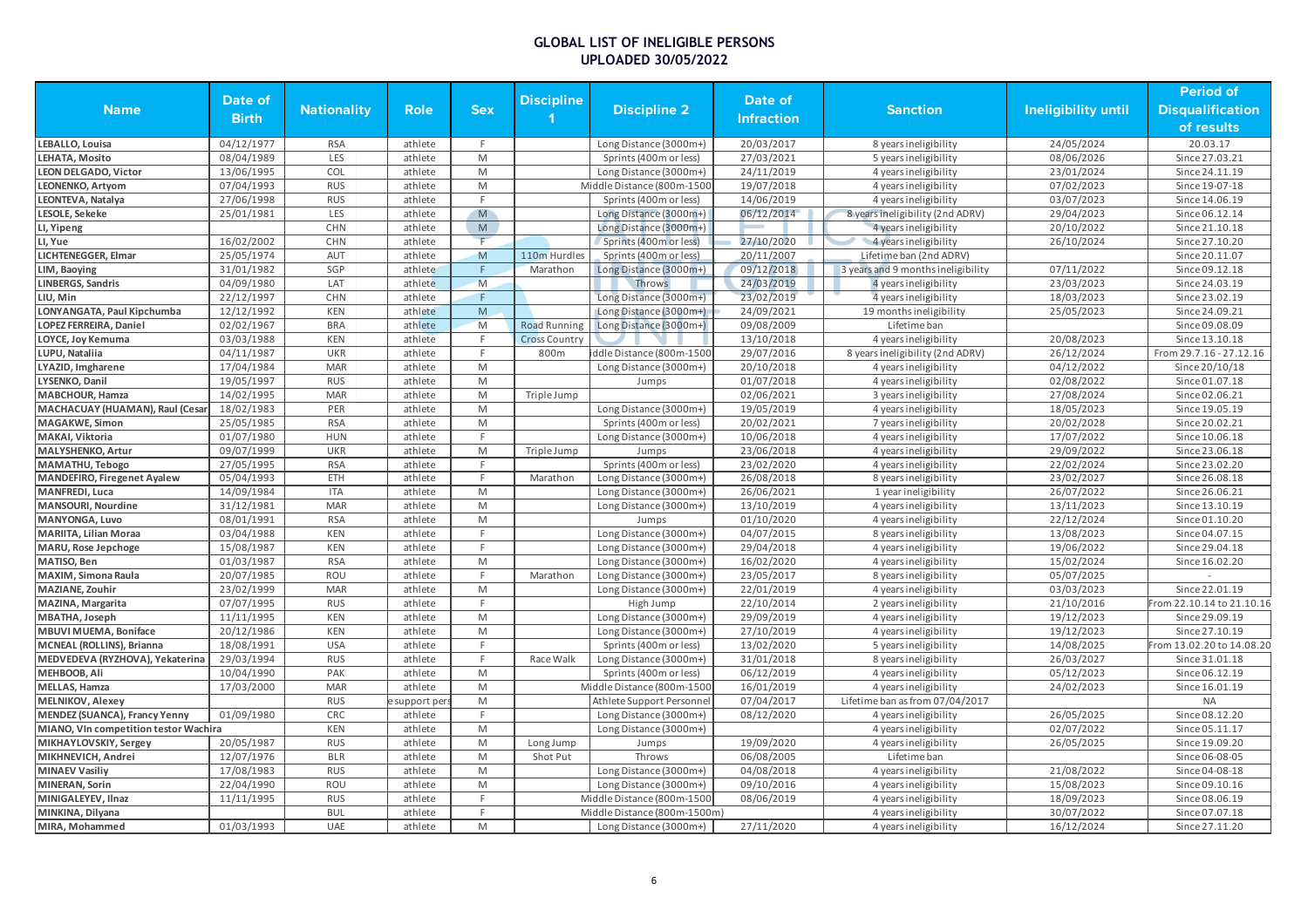|                                       |              |                    |             |                                                                                                            |                     |                              |                   |                                    |                            | <b>Period of</b>          |
|---------------------------------------|--------------|--------------------|-------------|------------------------------------------------------------------------------------------------------------|---------------------|------------------------------|-------------------|------------------------------------|----------------------------|---------------------------|
| <b>Name</b>                           | Date of      | <b>Nationality</b> | <b>Role</b> | <b>Sex</b>                                                                                                 | <b>Discipline</b>   | <b>Discipline 2</b>          | Date of           | <b>Sanction</b>                    | <b>Ineligibility until</b> | <b>Disqualification</b>   |
|                                       | <b>Birth</b> |                    |             |                                                                                                            |                     |                              | <b>Infraction</b> |                                    |                            | of results                |
| LEBALLO, Louisa                       | 04/12/1977   | <b>RSA</b>         | athlete     | F.                                                                                                         |                     | Long Distance (3000m+)       | 20/03/2017        | 8 years ineligibility              | 24/05/2024                 | 20.03.17                  |
| LEHATA, Mosito                        | 08/04/1989   | LES                | athlete     | M                                                                                                          |                     | Sprints (400m or less)       | 27/03/2021        | 5 years ineligibility              | 08/06/2026                 | Since 27.03.21            |
| <b>LEON DELGADO, Victor</b>           | 13/06/1995   | COL                | athlete     | M                                                                                                          |                     | Long Distance (3000m+)       | 24/11/2019        | 4 years ineligibility              | 23/01/2024                 | Since 24.11.19            |
| LEONENKO, Artyom                      | 07/04/1993   | <b>RUS</b>         | athlete     | M                                                                                                          |                     | Middle Distance (800m-1500   | 19/07/2018        | 4 years ineligibility              | 07/02/2023                 | Since 19-07-18            |
| LEONTEVA, Natalya                     | 27/06/1998   | <b>RUS</b>         | athlete     | F.                                                                                                         |                     | Sprints (400m or less)       | 14/06/2019        | 4 years ineligibility              | 03/07/2023                 | Since 14.06.19            |
| LESOLE, Sekeke                        | 25/01/1981   | LES                | athlete     | M                                                                                                          |                     | Long Distance (3000m+)       | 06/12/2014        | 8 years ineligibility (2nd ADRV)   | 29/04/2023                 | Since 06.12.14            |
| LI, Yipeng                            |              | <b>CHN</b>         | athlete     | $\mathsf{M}% _{T}=\mathsf{M}_{T}\!\left( a,b\right) ,\ \mathsf{M}_{T}=\mathsf{M}_{T}\!\left( a,b\right) ,$ |                     | Long Distance (3000m+)       |                   | 4 years ineligibility              | 20/10/2022                 | Since 21.10.18            |
| LI, Yue                               | 16/02/2002   | <b>CHN</b>         | athlete     |                                                                                                            |                     | Sprints (400m or less)       | 27/10/2020        | 4 years ineligibility              | 26/10/2024                 | Since 27.10.20            |
| LICHTENEGGER, Elmar                   | 25/05/1974   | <b>AUT</b>         | athlete     | M                                                                                                          | 110m Hurdles        | Sprints (400m or less)       | 20/11/2007        | Lifetime ban (2nd ADRV)            |                            | Since 20.11.07            |
| LIM, Baoying                          | 31/01/1982   | SGP                | athlete     | F.                                                                                                         | Marathon            | Long Distance (3000m+)       | 09/12/2018        | 3 years and 9 months ineligibility | 07/11/2022                 | Since 09.12.18            |
| <b>LINBERGS, Sandris</b>              | 04/09/1980   | LAT                | athlete     | M                                                                                                          |                     | Throws                       | 24/03/2019        | 4 years ineligibility              | 23/03/2023                 | Since 24.03.19            |
| LIU, Min                              | 22/12/1997   | <b>CHN</b>         | athlete     | F                                                                                                          |                     | Long Distance (3000m+)       | 23/02/2019        | 4 years ineligibility              | 18/03/2023                 | Since 23.02.19            |
| LONYANGATA, Paul Kipchumba            | 12/12/1992   | <b>KEN</b>         | athlete     | ${\sf M}$                                                                                                  |                     | Long Distance (3000m+)       | 24/09/2021        | 19 months ineligibility            | 25/05/2023                 | Since 24.09.21            |
| LOPEZ FERREIRA, Daniel                | 02/02/1967   | <b>BRA</b>         | athlete     | M                                                                                                          | <b>Road Running</b> | Long Distance (3000m+)       | 09/08/2009        | Lifetime ban                       |                            | Since 09.08.09            |
| LOYCE, Joy Kemuma                     | 03/03/1988   | <b>KEN</b>         | athlete     | F.                                                                                                         | Cross Country       |                              | 13/10/2018        | 4 years ineligibility              | 20/08/2023                 | Since 13.10.18            |
| LUPU, Nataliia                        | 04/11/1987   | <b>UKR</b>         | athlete     | E                                                                                                          | 800m                | iddle Distance (800m-1500    | 29/07/2016        | 8 years ineligibility (2nd ADRV)   | 26/12/2024                 | From 29.7.16 - 27.12.16   |
| LYAZID, Imgharene                     | 17/04/1984   | <b>MAR</b>         | athlete     | M                                                                                                          |                     | Long Distance (3000m+)       | 20/10/2018        | 4 years ineligibility              | 04/12/2022                 | Since 20/10/18            |
| LYSENKO, Danil                        | 19/05/1997   | <b>RUS</b>         | athlete     | M                                                                                                          |                     | Jumps                        | 01/07/2018        | 4 years ineligibility              | 02/08/2022                 | Since 01.07.18            |
| MABCHOUR, Hamza                       | 14/02/1995   | <b>MAR</b>         | athlete     | M                                                                                                          | Triple Jump         |                              | 02/06/2021        | 3 years ineligibility              | 27/08/2024                 | Since 02.06.21            |
| MACHACUAY (HUAMAN), Raul (Cesar       | 18/02/1983   | PER                | athlete     | M                                                                                                          |                     | Long Distance (3000m+)       | 19/05/2019        | 4 years ineligibility              | 18/05/2023                 | Since 19.05.19            |
| MAGAKWE, Simon                        | 25/05/1985   | <b>RSA</b>         | athlete     | M                                                                                                          |                     | Sprints (400m or less)       | 20/02/2021        | 7 years ineligibility              | 20/02/2028                 | Since 20.02.21            |
| MAKAI, Viktoria                       | 01/07/1980   | <b>HUN</b>         | athlete     | F.                                                                                                         |                     | Long Distance (3000m+)       | 10/06/2018        | 4 years ineligibility              | 17/07/2022                 | Since 10.06.18            |
| MALYSHENKO, Artur                     | 09/07/1999   | <b>UKR</b>         | athlete     | M                                                                                                          | Triple Jump         | Jumps                        | 23/06/2018        | 4 years ineligibility              | 29/09/2022                 | Since 23.06.18            |
| <b>MAMATHU, Tebogo</b>                | 27/05/1995   | <b>RSA</b>         | athlete     | F                                                                                                          |                     | Sprints (400m or less)       | 23/02/2020        | 4 years ineligibility              | 22/02/2024                 | Since 23.02.20            |
| <b>MANDEFIRO, Firegenet Ayalew</b>    | 05/04/1993   | ETH                | athlete     | F.                                                                                                         | Marathon            | Long Distance (3000m+)       | 26/08/2018        | 8 years ineligibility              | 23/02/2027                 | Since 26.08.18            |
| <b>MANFREDI, Luca</b>                 | 14/09/1984   | <b>ITA</b>         | athlete     | M                                                                                                          |                     | Long Distance (3000m+)       | 26/06/2021        | 1 year ineligibility               | 26/07/2022                 | Since 26.06.21            |
| <b>MANSOURI, Nourdine</b>             | 31/12/1981   | <b>MAR</b>         | athlete     | M                                                                                                          |                     | Long Distance (3000m+)       | 13/10/2019        | 4 years ineligibility              | 13/11/2023                 | Since 13.10.19            |
| <b>MANYONGA, Luvo</b>                 | 08/01/1991   | <b>RSA</b>         | athlete     | M                                                                                                          |                     | Jumps                        | 01/10/2020        | 4 years ineligibility              | 22/12/2024                 | Since 01.10.20            |
| <b>MARIITA, Lilian Moraa</b>          | 03/04/1988   | <b>KEN</b>         | athlete     | F.                                                                                                         |                     | Long Distance (3000m+)       | 04/07/2015        | 8 years ineligibility              | 13/08/2023                 | Since 04.07.15            |
| MARU, Rose Jepchoge                   | 15/08/1987   | <b>KEN</b>         | athlete     | F.                                                                                                         |                     | Long Distance (3000m+)       | 29/04/2018        | 4 years ineligibility              | 19/06/2022                 | Since 29.04.18            |
| MATISO, Ben                           | 01/03/1987   | <b>RSA</b>         | athlete     | M                                                                                                          |                     | Long Distance (3000m+)       | 16/02/2020        | 4 years ineligibility              | 15/02/2024                 | Since 16.02.20            |
| MAXIM, Simona Raula                   | 20/07/1985   | ROU                | athlete     | F                                                                                                          | Marathon            | Long Distance (3000m+)       | 23/05/2017        | 8 years ineligibility              | 05/07/2025                 |                           |
| MAZIANE, Zouhir                       | 23/02/1999   | <b>MAR</b>         | athlete     | M                                                                                                          |                     | Long Distance (3000m+)       | 22/01/2019        | 4 years ineligibility              | 03/03/2023                 | Since 22.01.19            |
| MAZINA, Margarita                     | 07/07/1995   | <b>RUS</b>         | athlete     | F.                                                                                                         |                     | High Jump                    | 22/10/2014        | 2 years ineligibility              | 21/10/2016                 | From 22.10.14 to 21.10.16 |
| MBATHA, Joseph                        | 11/11/1995   | <b>KEN</b>         | athlete     | M                                                                                                          |                     | Long Distance (3000m+)       | 29/09/2019        | 4 years ineligibility              | 19/12/2023                 | Since 29.09.19            |
| MBUVI MUEMA, Boniface                 | 20/12/1986   | <b>KEN</b>         | athlete     | M                                                                                                          |                     | Long Distance (3000m+)       | 27/10/2019        | 4 years ineligibility              | 19/12/2023                 | Since 27.10.19            |
| MCNEAL (ROLLINS), Brianna             | 18/08/1991   | <b>USA</b>         | athlete     | F                                                                                                          |                     | Sprints (400m or less)       | 13/02/2020        | 5 years ineligibility              | 14/08/2025                 | From 13.02.20 to 14.08.20 |
| MEDVEDEVA (RYZHOVA), Yekaterina       | 29/03/1994   | <b>RUS</b>         | athlete     | F.                                                                                                         | Race Walk           | Long Distance (3000m+)       | 31/01/2018        | 8 years ineligibility              | 26/03/2027                 | Since 31.01.18            |
| MEHBOOB, Ali                          | 10/04/1990   | PAK                | athlete     | $\mathsf{M}% _{T}=\mathsf{M}_{T}\!\left( a,b\right) ,\ \mathsf{M}_{T}=\mathsf{M}_{T}\!\left( a,b\right) ,$ |                     | Sprints (400m or less)       | 06/12/2019        | 4 years ineligibility              | 05/12/2023                 | Since 06.12.19            |
| <b>MELLAS, Hamza</b>                  | 17/03/2000   | <b>MAR</b>         | athlete     | M                                                                                                          |                     | Middle Distance (800m-1500   | 16/01/2019        | 4 years ineligibility              | 24/02/2023                 | Since 16.01.19            |
| <b>MELNIKOV</b> , Alexey              |              | <b>RUS</b>         | support per | M                                                                                                          |                     | Athlete Support Personnel    | 07/04/2017        | Lifetime ban as from 07/04/2017    |                            | <b>NA</b>                 |
| <b>MENDEZ (SUANCA), Francy Yenny</b>  | 01/09/1980   | CRC                | athlete     | F.                                                                                                         |                     | Long Distance (3000m+)       | 08/12/2020        | 4 years ineligibility              | 26/05/2025                 | Since 08.12.20            |
| MIANO, VIn competition testor Wachira |              | <b>KEN</b>         | athlete     | M                                                                                                          |                     | Long Distance (3000m+)       |                   | 4 years ineligibility              | 02/07/2022                 | Since 05.11.17            |
| MIKHAYLOVSKIY, Sergey                 | 20/05/1987   | <b>RUS</b>         | athlete     | M                                                                                                          | Long Jump           | Jumps                        | 19/09/2020        | 4 years ineligibility              | 26/05/2025                 | Since 19.09.20            |
| MIKHNEVICH, Andrei                    | 12/07/1976   | <b>BLR</b>         | athlete     | M                                                                                                          | Shot Put            | Throws                       | 06/08/2005        | Lifetime ban                       |                            | Since 06-08-05            |
| <b>MINAEV Vasiliv</b>                 | 17/08/1983   | <b>RUS</b>         | athlete     | M                                                                                                          |                     | Long Distance (3000m+)       | 04/08/2018        | 4 years ineligibility              | 21/08/2022                 | Since 04-08-18            |
| <b>MINERAN, Sorin</b>                 | 22/04/1990   | ROU                | athlete     | M                                                                                                          |                     | Long Distance (3000m+)       | 09/10/2016        | 4 years ineligibility              | 15/08/2023                 | Since 09.10.16            |
| MINIGALEYEV, Ilnaz                    | 11/11/1995   | <b>RUS</b>         | athlete     | F.                                                                                                         |                     | Middle Distance (800m-1500   | 08/06/2019        | 4 years ineligibility              | 18/09/2023                 | Since 08.06.19            |
| MINKINA, Dilyana                      |              | <b>BUL</b>         | athlete     | F                                                                                                          |                     | Middle Distance (800m-1500m) |                   | 4 years ineligibility              | 30/07/2022                 | Since 07.07.18            |
| MIRA, Mohammed                        | 01/03/1993   | <b>UAE</b>         | athlete     | M                                                                                                          |                     | Long Distance (3000m+)       | 27/11/2020        | 4 years ineligibility              | 16/12/2024                 | Since 27.11.20            |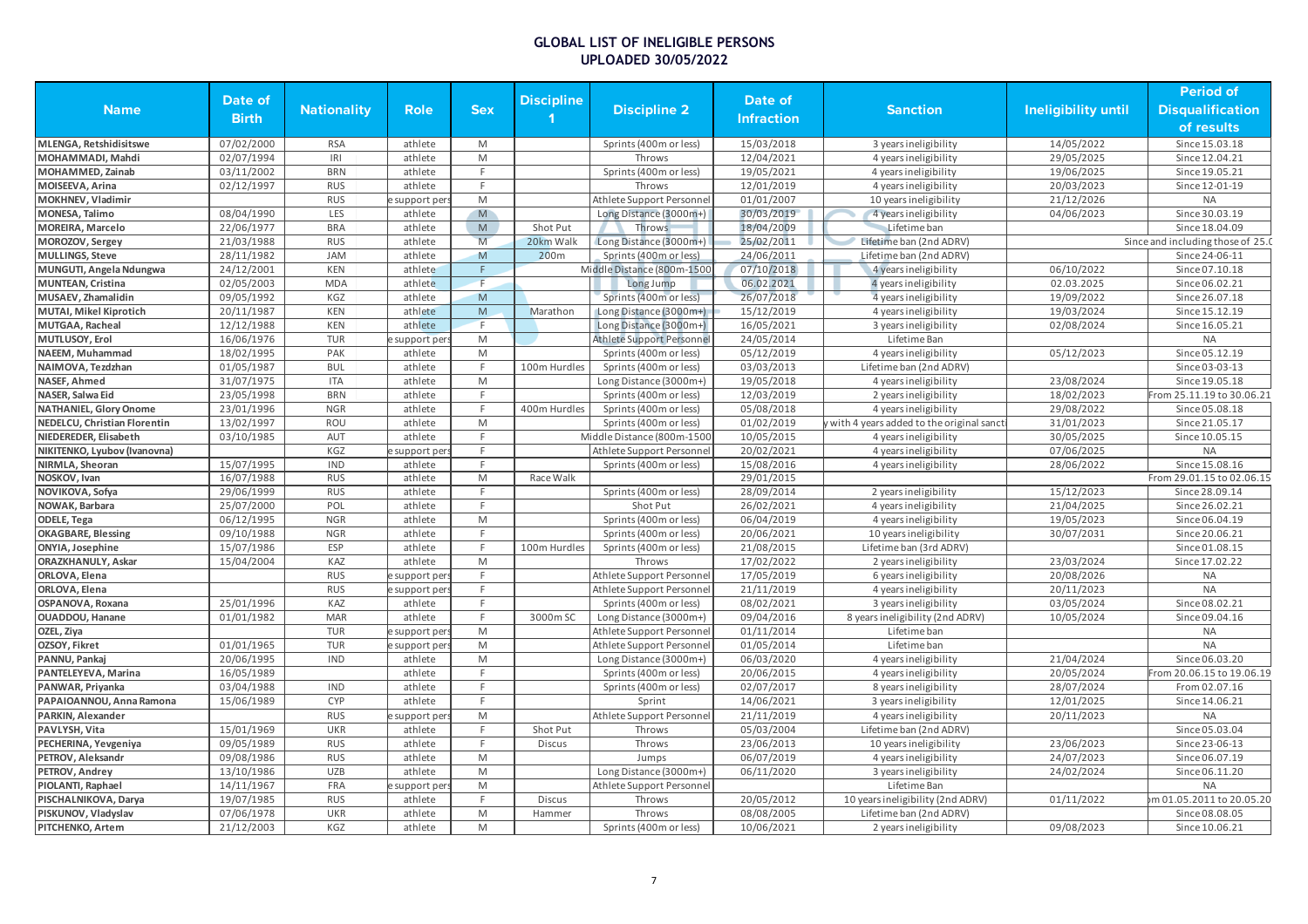|                                       | Date of      |                          |                    |                                                                                                            | <b>Discipline</b> |                            | Date of                  |                                          |                     | <b>Period of</b>                 |
|---------------------------------------|--------------|--------------------------|--------------------|------------------------------------------------------------------------------------------------------------|-------------------|----------------------------|--------------------------|------------------------------------------|---------------------|----------------------------------|
| <b>Name</b>                           | <b>Birth</b> | <b>Nationality</b>       | <b>Role</b>        | <b>Sex</b>                                                                                                 |                   | <b>Discipline 2</b>        | <b>Infraction</b>        | <b>Sanction</b>                          | Ineligibility until | <b>Disqualification</b>          |
|                                       |              |                          |                    |                                                                                                            |                   |                            |                          |                                          |                     | of results                       |
| <b>MLENGA, Retshidisitswe</b>         | 07/02/2000   | <b>RSA</b>               | athlete            | M                                                                                                          |                   | Sprints (400m or less)     | 15/03/2018               | 3 years ineligibility                    | 14/05/2022          | Since 15.03.18                   |
| MOHAMMADI, Mahdi                      | 02/07/1994   | IRI                      | athlete            | M                                                                                                          |                   | Throws                     | 12/04/2021               | 4 years ineligibility                    | 29/05/2025          | Since 12.04.21                   |
| MOHAMMED, Zainab                      | 03/11/2002   | <b>BRN</b>               | athlete            | E                                                                                                          |                   | Sprints (400m or less)     | 19/05/2021               | 4 years ineligibility                    | 19/06/2025          | Since 19.05.21                   |
| MOISEEVA, Arina                       | 02/12/1997   | <b>RUS</b>               | athlete            | E                                                                                                          |                   | Throws                     | 12/01/2019               | 4 years ineligibility                    | 20/03/2023          | Since 12-01-19                   |
| MOKHNEV, Vladimir                     |              | <b>RUS</b>               | support per        | M                                                                                                          |                   | Athlete Support Personnel  | 01/01/2007               | 10 years ineligibility                   | 21/12/2026          | <b>NA</b>                        |
| MONESA, Talimo                        | 08/04/1990   | LES                      | athlete            | M                                                                                                          |                   | Long Distance (3000m+)     | 30/03/2019               | 4 years ineligibility                    | 04/06/2023          | Since 30.03.19                   |
| <b>MOREIRA, Marcelo</b>               | 22/06/1977   | <b>BRA</b>               | athlete            | M                                                                                                          | Shot Put          | Throws                     | 18/04/2009               | Lifetime ban                             |                     | Since 18.04.09                   |
| MOROZOV, Sergey                       | 21/03/1988   | <b>RUS</b>               | athlete            | M                                                                                                          | 20km Walk         | Long Distance (3000m+)     | 25/02/2011               | Lifetime ban (2nd ADRV)                  |                     | Since and including those of 25. |
| <b>MULLINGS, Steve</b>                | 28/11/1982   | <b>JAM</b>               | athlete            | M                                                                                                          | 200 <sub>m</sub>  | Sprints (400m or less)     | 24/06/2011               | Lifetime ban (2nd ADRV)                  |                     | Since 24-06-11                   |
| MUNGUTI, Angela Ndungwa               | 24/12/2001   | <b>KEN</b>               | athlete            | F                                                                                                          |                   | Middle Distance (800m-1500 | 07/10/2018               | 4 years ineligibility                    | 06/10/2022          | Since 07.10.18                   |
| <b>MUNTEAN, Cristina</b>              | 02/05/2003   | <b>MDA</b>               | athlete            | F                                                                                                          |                   | Long Jump                  | 06.02.2021               | 4 years ineligibility                    | 02.03.2025          | Since 06.02.21                   |
| MUSAEV, Zhamalidin                    | 09/05/1992   | KGZ                      | athlete            | M                                                                                                          |                   | Sprints (400m or less)     | 26/07/2018               | 4 years ineligibility                    | 19/09/2022          | Since 26.07.18                   |
| MUTAI, Mikel Kiprotich                | 20/11/1987   | <b>KEN</b>               | athlete            | M                                                                                                          | Marathon          | Long Distance (3000m+)     | 15/12/2019               | 4 years ineligibility                    | 19/03/2024          | Since 15.12.19                   |
| MUTGAA, Racheal                       | 12/12/1988   | <b>KEN</b>               | athlete            | F                                                                                                          |                   | Long Distance (3000m+)     | 16/05/2021               | 3 years ineligibility                    | 02/08/2024          | Since 16.05.21                   |
| MUTLUSOY, Erol                        | 16/06/1976   | <b>TUR</b>               | support per        | $\overline{M}$                                                                                             |                   | Athlete Support Personnel  | 24/05/2014               | Lifetime Ban                             |                     | <b>NA</b>                        |
| NAEEM, Muhammad                       | 18/02/1995   | PAK                      | athlete            | M                                                                                                          |                   | Sprints (400m or less)     | 05/12/2019               | 4 years ineligibility                    | 05/12/2023          | Since 05.12.19                   |
| NAIMOVA, Tezdzhan                     | 01/05/1987   | <b>BUL</b>               | athlete            | E                                                                                                          | 100m Hurdles      | Sprints (400m or less)     | 03/03/2013               | Lifetime ban (2nd ADRV)                  |                     | Since 03-03-13                   |
| NASEF, Ahmed                          | 31/07/1975   | <b>ITA</b>               | athlete            | M                                                                                                          |                   | Long Distance (3000m+)     | 19/05/2018               | 4 years ineligibility                    | 23/08/2024          | Since 19.05.18                   |
| NASER, Salwa Eid                      | 23/05/1998   | <b>BRN</b>               | athlete            |                                                                                                            |                   | Sprints (400m or less)     | 12/03/2019               | 2 years ineligibility                    | 18/02/2023          | From 25.11.19 to 30.06.21        |
| <b>NATHANIEL, Glory Onome</b>         | 23/01/1996   | <b>NGR</b>               | athlete            | E                                                                                                          | 400m Hurdles      | Sprints (400m or less)     | 05/08/2018               | 4 years ineligibility                    | 29/08/2022          | Since 05.08.18                   |
| <b>NEDELCU, Christian Florentin</b>   | 13/02/1997   | <b>ROU</b>               | athlete            | M                                                                                                          |                   | Sprints (400m or less)     | 01/02/2019               | with 4 years added to the original sanct | 31/01/2023          | Since 21.05.17                   |
| NIEDEREDER, Elisabeth                 | 03/10/1985   | AUT                      | athlete            | F                                                                                                          |                   | Middle Distance (800m-1500 | 10/05/2015               | 4 years ineligibility                    | 30/05/2025          | Since 10.05.15                   |
| NIKITENKO, Lyubov (Ivanovna)          |              | KGZ                      | support per        |                                                                                                            |                   | Athlete Support Personnel  | 20/02/2021               | 4 years ineligibility                    | 07/06/2025          | <b>NA</b>                        |
| NIRMLA, Sheoran                       | 15/07/1995   | <b>IND</b>               | athlete            | E                                                                                                          |                   | Sprints (400m or less)     | 15/08/2016               | 4 years ineligibility                    | 28/06/2022          | Since 15.08.16                   |
| NOSKOV, Ivan                          | 16/07/1988   | <b>RUS</b>               | athlete            | $\mathsf{M}% _{T}=\mathsf{M}_{T}\!\left( a,b\right) ,\ \mathsf{M}_{T}=\mathsf{M}_{T}\!\left( a,b\right) ,$ | Race Walk         |                            | 29/01/2015               |                                          |                     | From 29.01.15 to 02.06.15        |
| NOVIKOVA, Sofya                       | 29/06/1999   | <b>RUS</b>               | athlete            | E                                                                                                          |                   | Sprints (400m or less)     | 28/09/2014               | 2 years ineligibility                    | 15/12/2023          | Since 28.09.14                   |
| NOWAK, Barbara                        | 25/07/2000   | POL                      | athlete            |                                                                                                            |                   | Shot Put                   | 26/02/2021               | 4 years ineligibility                    | 21/04/2025          | Since 26.02.21                   |
| <b>ODELE, Tega</b>                    | 06/12/1995   | <b>NGR</b>               | athlete            | M                                                                                                          |                   | Sprints (400m or less)     | 06/04/2019               | 4 years ineligibility                    | 19/05/2023          | Since 06.04.19                   |
| <b>OKAGBARE, Blessing</b>             | 09/10/1988   | <b>NGR</b>               | athlete            | F                                                                                                          |                   | Sprints (400m or less)     | 20/06/2021               | 10 years ineligibility                   | 30/07/2031          | Since 20.06.21                   |
| ONYIA, Josephine                      | 15/07/1986   | ESP                      | athlete            | F                                                                                                          | 100m Hurdles      | Sprints (400m or less)     | 21/08/2015               | Lifetime ban (3rd ADRV)                  |                     | Since 01.08.15                   |
| <b>ORAZKHANULY, Askar</b>             | 15/04/2004   | KAZ                      | athlete            | $\overline{M}$                                                                                             |                   | Throws                     | 17/02/2022               | 2 years ineligibility                    | 23/03/2024          | Since 17.02.22                   |
| ORLOVA, Elena                         |              | <b>RUS</b>               | support per        | E                                                                                                          |                   | Athlete Support Personne   | 17/05/2019               | 6 years ineligibility                    | 20/08/2026          | <b>NA</b>                        |
| ORLOVA, Elena                         |              | <b>RUS</b>               | support per        | F.                                                                                                         |                   | Athlete Support Personne   | 21/11/2019               | 4 years ineligibility                    | 20/11/2023          | <b>NA</b>                        |
| OSPANOVA, Roxana                      | 25/01/1996   | KAZ                      | athlete            | F                                                                                                          |                   | Sprints (400m or less)     | 08/02/2021               | 3 years ineligibility                    | 03/05/2024          | Since 08.02.21                   |
| OUADDOU, Hanane                       | 01/01/1982   | <b>MAR</b>               | athlete            |                                                                                                            | 3000m SC          | Long Distance (3000m+)     | 09/04/2016               | 8 years ineligibility (2nd ADRV)         | 10/05/2024          | Since 09.04.16                   |
| OZEL, Ziya                            |              | <b>TUR</b>               | support per        | M                                                                                                          |                   | Athlete Support Personnel  | 01/11/2014               | Lifetime ban                             |                     | <b>NA</b>                        |
| OZSOY, Fikret                         | 01/01/1965   | <b>TUR</b>               | support per        | M                                                                                                          |                   | Athlete Support Personne   | 01/05/2014               | Lifetime ban                             |                     | <b>NA</b>                        |
| PANNU, Pankaj                         | 20/06/1995   | <b>IND</b>               | athlete            | M                                                                                                          |                   | Long Distance (3000m+)     | 06/03/2020               | 4 years ineligibility                    | 21/04/2024          | Since 06.03.20                   |
| PANTELEYEVA, Marina                   | 16/05/1989   |                          | athlete            |                                                                                                            |                   | Sprints (400m or less)     | 20/06/2015               | 4 years ineligibility                    | 20/05/2024          | From 20.06.15 to 19.06.19        |
| PANWAR, Priyanka                      | 03/04/1988   | <b>IND</b>               | athlete            | E                                                                                                          |                   | Sprints (400m or less)     | 02/07/2017               | 8 years ineligibility                    | 28/07/2024          | From 02.07.16                    |
| PAPAIOANNOU, Anna Ramona              | 15/06/1989   | CYP                      | athlete            | E                                                                                                          |                   | Sprint                     | 14/06/2021               | 3 years ineligibility                    | 12/01/2025          | Since 14.06.21                   |
| PARKIN, Alexander                     |              | <b>RUS</b>               |                    | $\mathsf{M}% _{T}=\mathsf{M}_{T}\!\left( a,b\right) ,\ \mathsf{M}_{T}=\mathsf{M}_{T}\!\left( a,b\right) ,$ |                   | Athlete Support Personnel  | 21/11/2019               | 4 years ineligibility                    | 20/11/2023          | <b>NA</b>                        |
|                                       | 15/01/1969   | <b>UKR</b>               | support per        | E                                                                                                          | Shot Put          |                            | 05/03/2004               | Lifetime ban (2nd ADRV)                  |                     | Since 05.03.04                   |
| PAVLYSH, Vita<br>PECHERINA, Yevgeniya | 09/05/1989   | <b>RUS</b>               | athlete<br>athlete |                                                                                                            | <b>Discus</b>     | Throws<br>Throws           | 23/06/2013               | 10 years ineligibility                   | 23/06/2023          | Since 23-06-13                   |
|                                       |              |                          |                    |                                                                                                            |                   |                            |                          |                                          |                     |                                  |
| PETROV, Aleksandr                     | 09/08/1986   | <b>RUS</b><br><b>UZB</b> | athlete<br>athlete | M<br>M                                                                                                     |                   | Jumps                      | 06/07/2019<br>06/11/2020 | 4 years ineligibility                    | 24/07/2023          | Since 06.07.19                   |
| PETROV, Andrey                        | 13/10/1986   |                          |                    |                                                                                                            |                   | Long Distance (3000m+)     |                          | 3 years ineligibility                    | 24/02/2024          | Since 06.11.20                   |
| PIOLANTI, Raphael                     | 14/11/1967   | FRA                      | support per        | M                                                                                                          |                   | Athlete Support Personnel  |                          | Lifetime Ban                             |                     | <b>NA</b>                        |
| PISCHALNIKOVA, Darya                  | 19/07/1985   | <b>RUS</b>               | athlete            |                                                                                                            | <b>Discus</b>     | Throws                     | 20/05/2012               | 10 years ineligibility (2nd ADRV)        | 01/11/2022          | m 01.05.2011 to 20.05.20         |
| PISKUNOV, Vladyslav                   | 07/06/1978   | <b>UKR</b>               | athlete            | M                                                                                                          | Hammer            | Throws                     | 08/08/2005               | Lifetime ban (2nd ADRV)                  |                     | Since 08.08.05                   |
| PITCHENKO, Artem                      | 21/12/2003   | KGZ                      | athlete            | M                                                                                                          |                   | Sprints (400m or less)     | 10/06/2021               | 2 years ineligibility                    | 09/08/2023          | Since 10.06.21                   |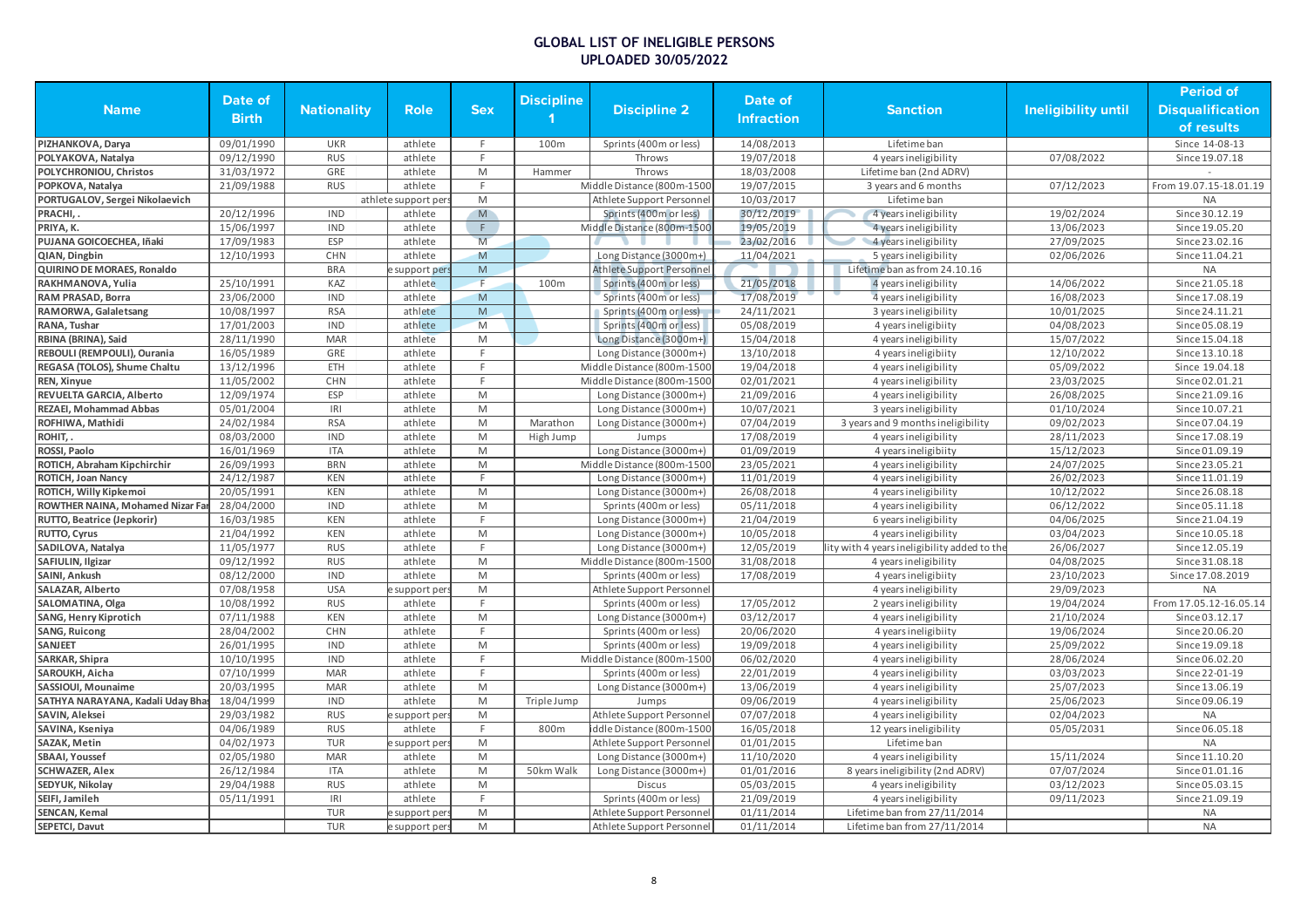|                                   |              |                    |                     |            |                   |                                  |                   |                                             |                            | <b>Period of</b>        |
|-----------------------------------|--------------|--------------------|---------------------|------------|-------------------|----------------------------------|-------------------|---------------------------------------------|----------------------------|-------------------------|
| <b>Name</b>                       | Date of      | <b>Nationality</b> | <b>Role</b>         | <b>Sex</b> | <b>Discipline</b> | <b>Discipline 2</b>              | Date of           | <b>Sanction</b>                             | <b>Ineligibility until</b> | <b>Disqualification</b> |
|                                   | <b>Birth</b> |                    |                     |            |                   |                                  | <b>Infraction</b> |                                             |                            | of results              |
| PIZHANKOVA, Darya                 | 09/01/1990   | <b>UKR</b>         | athlete             | F.         | 100m              | Sprints (400m or less)           | 14/08/2013        | Lifetime ban                                |                            | Since 14-08-13          |
| POLYAKOVA, Natalya                | 09/12/1990   | <b>RUS</b>         | athlete             | F.         |                   | Throws                           | 19/07/2018        | 4 years ineligibility                       | 07/08/2022                 | Since 19.07.18          |
| POLYCHRONIOU, Christos            | 31/03/1972   | GRE                | athlete             | M          | Hammer            | Throws                           | 18/03/2008        | Lifetime ban (2nd ADRV)                     |                            |                         |
| POPKOVA, Natalya                  | 21/09/1988   | <b>RUS</b>         | athlete             | F.         |                   | Middle Distance (800m-1500       | 19/07/2015        | 3 years and 6 months                        | 07/12/2023                 | From 19.07.15-18.01.19  |
| PORTUGALOV, Sergei Nikolaevich    |              |                    | athlete support per | M          |                   | Athlete Support Personnel        | 10/03/2017        | Lifetime ban                                |                            | <b>NA</b>               |
| PRACHI,.                          | 20/12/1996   | <b>IND</b>         | athlete             | M          |                   | Sprints (400m or less)           | 30/12/2019        | 4 years ineligibility                       | 19/02/2024                 | Since 30.12.19          |
| PRIYA, K.                         | 15/06/1997   | <b>IND</b>         | athlete             | F.         |                   | Middle Distance (800m-1500       | 19/05/2019        | 4 years ineligibility                       | 13/06/2023                 | Since 19.05.20          |
| PUJANA GOICOECHEA, Iñaki          | 17/09/1983   | ESP                | athlete             | M          |                   |                                  | 23/02/2016        | 4 years ineligibility                       | 27/09/2025                 | Since 23.02.16          |
| QIAN, Dingbin                     | 12/10/1993   | <b>CHN</b>         | athlete             | M          |                   | Long Distance (3000m+)           | 11/04/2021        | 5 years ineligibility                       | 02/06/2026                 | Since 11.04.21          |
| QUIRINO DE MORAES, Ronaldo        |              | <b>BRA</b>         | support pers        | M          |                   | <b>Athlete Support Personnel</b> |                   | Lifetime ban as from 24.10.16               |                            | <b>NA</b>               |
| RAKHMANOVA, Yulia                 | 25/10/1991   | KAZ                | athlete             |            | 100m              | Sprints (400m or less)           | 21/05/2018        | 4 years ineligibility                       | 14/06/2022                 | Since 21.05.18          |
| RAM PRASAD, Borra                 | 23/06/2000   | <b>IND</b>         | athlete             | M          |                   | Sprints (400m or less)           | 17/08/2019        | 4 years ineligibility                       | 16/08/2023                 | Since 17.08.19          |
| RAMORWA, Galaletsang              | 10/08/1997   | <b>RSA</b>         | athlete             | ${\sf M}$  |                   | Sprints (400m or less)           | 24/11/2021        | 3 years ineligibility                       | 10/01/2025                 | Since 24.11.21          |
| RANA, Tushar                      | 17/01/2003   | IND                | athlete             | M          |                   | Sprints (400m or less)           | 05/08/2019        | 4 years ineligibiity                        | 04/08/2023                 | Since 05.08.19          |
| RBINA (BRINA), Said               | 28/11/1990   | <b>MAR</b>         | athlete             | M          |                   | Long Distance (3000m+)           | 15/04/2018        | 4 years ineligibility                       | 15/07/2022                 | Since 15.04.18          |
|                                   |              | GRE                |                     | F          |                   |                                  |                   |                                             |                            |                         |
| REBOULI (REMPOULI), Ourania       | 16/05/1989   |                    | athlete             | F.         |                   | Long Distance (3000m+)           | 13/10/2018        | 4 years ineligibiity                        | 12/10/2022                 | Since 13.10.18          |
| REGASA (TOLOS), Shume Chaltu      | 13/12/1996   | ETH                | athlete             |            |                   | Middle Distance (800m-1500       | 19/04/2018        | 4 years ineligibility                       | 05/09/2022                 | Since 19.04.18          |
| REN, Xinyue                       | 11/05/2002   | CHN                | athlete             | F.         |                   | Middle Distance (800m-1500       | 02/01/2021        | 4 years ineligibility                       | 23/03/2025                 | Since 02.01.21          |
| REVUELTA GARCIA, Alberto          | 12/09/1974   | <b>ESP</b>         | athlete             | M          |                   | Long Distance (3000m+)           | 21/09/2016        | 4 years ineligibility                       | 26/08/2025                 | Since 21.09.16          |
| <b>REZAEI, Mohammad Abbas</b>     | 05/01/2004   | R                  | athlete             | M          |                   | Long Distance (3000m+)           | 10/07/2021        | 3 years ineligibility                       | 01/10/2024                 | Since 10.07.21          |
| ROFHIWA, Mathidi                  | 24/02/1984   | <b>RSA</b>         | athlete             | M          | Marathon          | Long Distance (3000m+)           | 07/04/2019        | 3 years and 9 months ineligibility          | 09/02/2023                 | Since 07.04.19          |
| ROHIT,.                           | 08/03/2000   | <b>IND</b>         | athlete             | M          | High Jump         | Jumps                            | 17/08/2019        | 4 years ineligibility                       | 28/11/2023                 | Since 17.08.19          |
| ROSSI, Paolo                      | 16/01/1969   | <b>ITA</b>         | athlete             | M          |                   | Long Distance (3000m+)           | 01/09/2019        | 4 years ineligibiity                        | 15/12/2023                 | Since 01.09.19          |
| ROTICH, Abraham Kipchirchir       | 26/09/1993   | <b>BRN</b>         | athlete             | M          |                   | Middle Distance (800m-1500       | 23/05/2021        | 4 years ineligibility                       | 24/07/2025                 | Since 23.05.21          |
| <b>ROTICH, Joan Nancy</b>         | 24/12/1987   | KEN                | athlete             | F.         |                   | Long Distance (3000m+)           | 11/01/2019        | 4 years ineligibility                       | 26/02/2023                 | Since 11.01.19          |
| ROTICH, Willy Kipkemoi            | 20/05/1991   | <b>KEN</b>         | athlete             | M          |                   | Long Distance (3000m+)           | 26/08/2018        | 4 years ineligibility                       | 10/12/2022                 | Since 26.08.18          |
| ROWTHER NAINA, Mohamed Nizar Far  | 28/04/2000   | <b>IND</b>         | athlete             | M          |                   | Sprints (400m or less)           | 05/11/2018        | 4 years ineligibility                       | 06/12/2022                 | Since 05.11.18          |
| RUTTO, Beatrice (Jepkorir)        | 16/03/1985   | <b>KEN</b>         | athlete             | F          |                   | Long Distance (3000m+)           | 21/04/2019        | 6 years ineligibility                       | 04/06/2025                 | Since 21.04.19          |
| RUTTO, Cyrus                      | 21/04/1992   | KEN                | athlete             | M          |                   | Long Distance (3000m+)           | 10/05/2018        | 4 years ineligibility                       | 03/04/2023                 | Since 10.05.18          |
| SADILOVA, Natalya                 | 11/05/1977   | <b>RUS</b>         | athlete             | F.         |                   | Long Distance (3000m+)           | 12/05/2019        | ity with 4 years ineligibility added to the | 26/06/2027                 | Since 12.05.19          |
| SAFIULIN, Ilgizar                 | 09/12/1992   | <b>RUS</b>         | athlete             | M          |                   | Middle Distance (800m-1500       | 31/08/2018        | 4 years ineligibility                       | 04/08/2025                 | Since 31.08.18          |
| SAINI, Ankush                     | 08/12/2000   | <b>IND</b>         | athlete             | M          |                   | Sprints (400m or less)           | 17/08/2019        | 4 years ineligibiity                        | 23/10/2023                 | Since 17.08.2019        |
| <b>SALAZAR, Alberto</b>           | 07/08/1958   | <b>USA</b>         | support per         | M          |                   | Athlete Support Personnel        |                   | 4 years ineligibility                       | 29/09/2023                 | <b>NA</b>               |
| SALOMATINA, Olga                  | 10/08/1992   | <b>RUS</b>         | athlete             | F.         |                   | Sprints (400m or less)           | 17/05/2012        | 2 years ineligibility                       | 19/04/2024                 | From 17.05.12-16.05.14  |
| SANG, Henry Kiprotich             | 07/11/1988   | <b>KEN</b>         | athlete             | M          |                   | Long Distance (3000m+)           | 03/12/2017        | 4 years ineligibility                       | 21/10/2024                 | Since 03.12.17          |
| <b>SANG, Ruicong</b>              | 28/04/2002   | <b>CHN</b>         | athlete             | F          |                   | Sprints (400m or less)           | 20/06/2020        | 4 years ineligibiity                        | 19/06/2024                 | Since 20.06.20          |
| <b>SANJEET</b>                    | 26/01/1995   | <b>IND</b>         | athlete             | M          |                   | Sprints (400m or less)           | 19/09/2018        | 4 years ineligibility                       | 25/09/2022                 | Since 19.09.18          |
| SARKAR, Shipra                    | 10/10/1995   | <b>IND</b>         | athlete             | F.         |                   | Middle Distance (800m-1500       | 06/02/2020        | 4 years ineligibility                       | 28/06/2024                 | Since 06.02.20          |
| SAROUKH, Aicha                    | 07/10/1999   | <b>MAR</b>         | athlete             | F.         |                   | Sprints (400m or less)           | 22/01/2019        | 4 years ineligibility                       | 03/03/2023                 | Since 22-01-19          |
| SASSIOUI. Mounaime                | 20/03/1995   | <b>MAR</b>         | athlete             | M          |                   | Long Distance (3000m+)           | 13/06/2019        | 4 years ineligibility                       | 25/07/2023                 | Since 13.06.19          |
| SATHYA NARAYANA, Kadali Uday Bhas | 18/04/1999   | <b>IND</b>         | athlete             | M          | Triple Jump       | Jumps                            | 09/06/2019        | 4 years ineligibility                       | 25/06/2023                 | Since 09.06.19          |
| SAVIN, Aleksei                    | 29/03/1982   | <b>RUS</b>         | support per         | M          |                   | Athlete Support Personnel        | 07/07/2018        | 4 years ineligibility                       | 02/04/2023                 | <b>NA</b>               |
| SAVINA, Kseniya                   | 04/06/1989   | <b>RUS</b>         | athlete             | F.         | 800m              | iddle Distance (800m-1500        | 16/05/2018        | 12 years ineligibility                      | 05/05/2031                 | Since 06.05.18          |
| SAZAK, Metin                      | 04/02/1973   | <b>TUR</b>         | support per:        | M          |                   | Athlete Support Personnel        | 01/01/2015        | Lifetime ban                                |                            | <b>NA</b>               |
| <b>SBAAI, Youssef</b>             | 02/05/1980   | <b>MAR</b>         | athlete             | M          |                   | Long Distance (3000m+)           | 11/10/2020        | 4 years ineligibility                       | 15/11/2024                 | Since 11.10.20          |
| <b>SCHWAZER, Alex</b>             | 26/12/1984   | <b>ITA</b>         | athlete             | M          | 50km Walk         | Long Distance (3000m+)           | 01/01/2016        | 8 years ineligibility (2nd ADRV)            | 07/07/2024                 | Since 01.01.16          |
| SEDYUK, Nikolay                   | 29/04/1988   | <b>RUS</b>         | athlete             | M          |                   | Discus                           | 05/03/2015        | 4 years ineligibility                       | 03/12/2023                 | Since 05.03.15          |
| SEIFI, Jamileh                    | 05/11/1991   | IRI                | athlete             | F.         |                   | Sprints (400m or less)           | 21/09/2019        | 4 years ineligibility                       | 09/11/2023                 | Since 21.09.19          |
| <b>SENCAN, Kemal</b>              |              | <b>TUR</b>         | e support per       | M          |                   | Athlete Support Personnel        | 01/11/2014        | Lifetime ban from 27/11/2014                |                            | <b>NA</b>               |
| SEPETCI, Davut                    |              | <b>TUR</b>         | e support pers      | M          |                   | Athlete Support Personnel        | 01/11/2014        | Lifetime ban from 27/11/2014                |                            | <b>NA</b>               |
|                                   |              |                    |                     |            |                   |                                  |                   |                                             |                            |                         |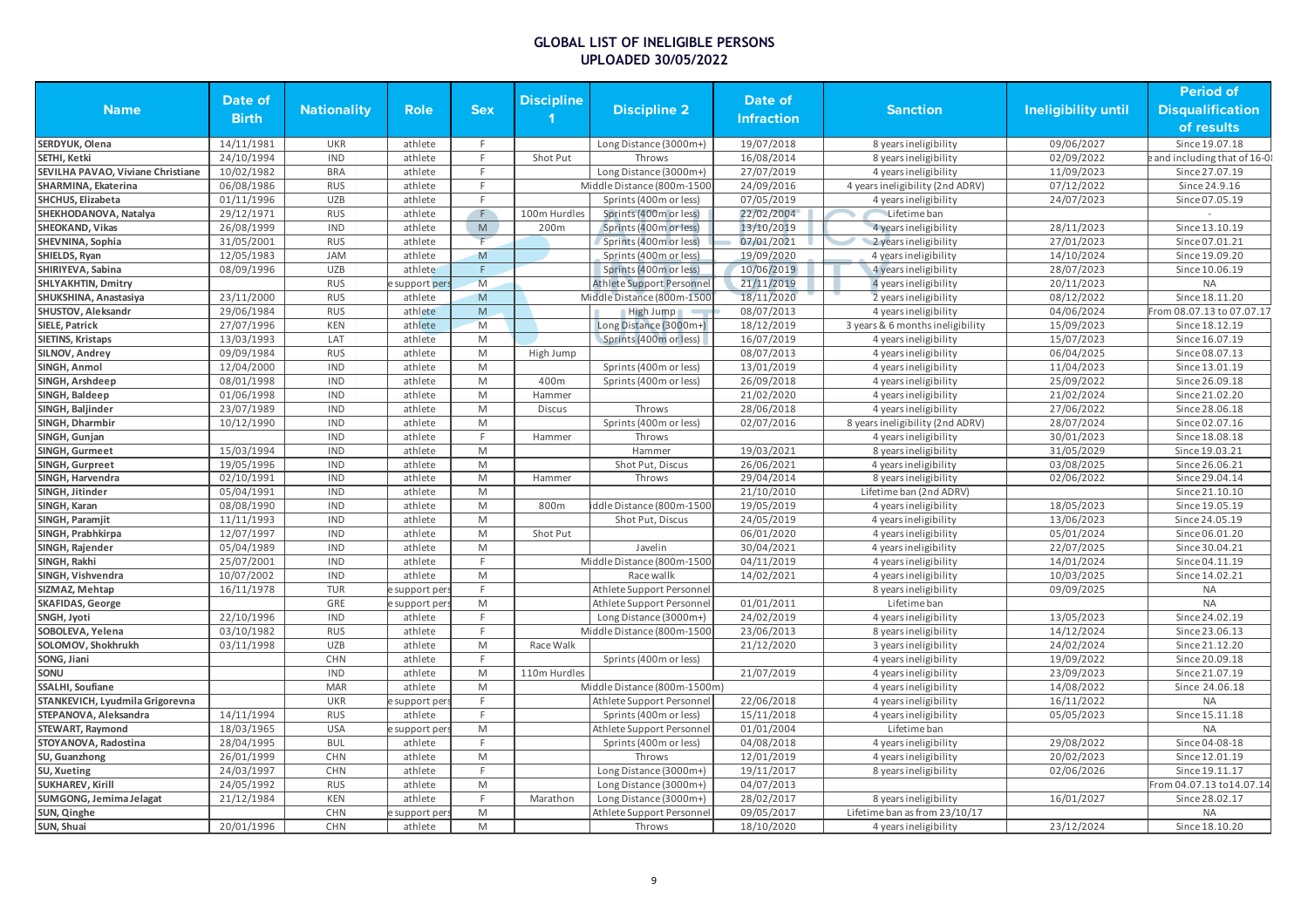| <b>Name</b>                       | Date of<br><b>Birth</b> | <b>Nationality</b>       | <b>Role</b>        | <b>Sex</b>                                                                                                 | <b>Discipline</b> | <b>Discipline 2</b>              | Date of<br><b>Infraction</b> | <b>Sanction</b>                                  | Ineligibility until      | <b>Period of</b><br><b>Disqualification</b><br>of results |
|-----------------------------------|-------------------------|--------------------------|--------------------|------------------------------------------------------------------------------------------------------------|-------------------|----------------------------------|------------------------------|--------------------------------------------------|--------------------------|-----------------------------------------------------------|
| SERDYUK, Olena                    | 14/11/1981              | <b>UKR</b>               | athlete            | F                                                                                                          |                   | Long Distance (3000m+)           | 19/07/2018                   | 8 years ineligibility                            | 09/06/2027               | Since 19.07.18                                            |
| SETHI. Ketki                      | 24/10/1994              | <b>IND</b>               | athlete            | F                                                                                                          | Shot Put          | Throws                           | 16/08/2014                   | 8 years ineligibility                            | 02/09/2022               | e and including that of 16-0                              |
| SEVILHA PAVAO, Viviane Christiane | 10/02/1982              | <b>BRA</b>               | athlete            | E                                                                                                          |                   | Long Distance (3000m+)           | 27/07/2019                   | 4 years ineligibility                            | 11/09/2023               | Since 27.07.19                                            |
| SHARMINA, Ekaterina               | 06/08/1986              | <b>RUS</b>               | athlete            | E                                                                                                          |                   | Middle Distance (800m-1500       | 24/09/2016                   | 4 years ineligibility (2nd ADRV)                 | 07/12/2022               | Since 24.9.16                                             |
| <b>SHCHUS, Elizabeta</b>          | 01/11/1996              | <b>UZB</b>               | athlete            | F.                                                                                                         |                   | Sprints (400m or less)           | 07/05/2019                   | 4 years ineligibility                            | 24/07/2023               | Since 07.05.19                                            |
| SHEKHODANOVA, Natalya             | 29/12/1971              | <b>RUS</b>               | athlete            | F                                                                                                          | 100m Hurdles      | Sprints (400m or less)           | 22/02/2004                   | Lifetime ban                                     |                          |                                                           |
| SHEOKAND, Vikas                   | 26/08/1999              | <b>IND</b>               | athlete            | ${\sf M}$                                                                                                  | 200m              | Sprints (400m or less)           | 13/10/2019                   | 4 years ineligibility                            | 28/11/2023               | Since 13.10.19                                            |
| SHEVNINA, Sophia                  | 31/05/2001              | <b>RUS</b>               | athlete            | F                                                                                                          |                   | Sprints (400m or less)           | 07/01/2021                   | 2 years ineligibility                            | 27/01/2023               | Since 07.01.21                                            |
| SHIELDS, Ryan                     | 12/05/1983              | <b>JAM</b>               | athlete            | M                                                                                                          |                   | Sprints (400m or less)           | 19/09/2020                   | 4 years ineligibility                            | 14/10/2024               | Since 19.09.20                                            |
| SHIRIYEVA, Sabina                 | 08/09/1996              | <b>UZB</b>               | athlete            | F                                                                                                          |                   | Sprints (400m or less)           | 10/06/2019                   | 4 years ineligibility                            | 28/07/2023               | Since 10.06.19                                            |
| <b>SHLYAKHTIN, Dmitry</b>         |                         | <b>RUS</b>               | support per        | M                                                                                                          |                   | <b>Athlete Support Personnel</b> | 21/11/2019                   | 4 years ineligibility                            | 20/11/2023               | <b>NA</b>                                                 |
| SHUKSHINA, Anastasiya             | 23/11/2000              | <b>RUS</b>               | athlete            | M                                                                                                          |                   | Middle Distance (800m-1500       | 18/11/2020                   | 2 years ineligibility                            | 08/12/2022               | Since 18.11.20                                            |
| SHUSTOV, Aleksandr                | 29/06/1984              | <b>RUS</b>               | athlete            | $\mathsf{M}% _{T}=\mathsf{M}_{T}\!\left( a,b\right) ,\ \mathsf{M}_{T}=\mathsf{M}_{T}\!\left( a,b\right) ,$ |                   | High Jump                        | 08/07/2013                   | 4 years ineligibility                            | 04/06/2024               | From 08.07.13 to 07.07.17                                 |
| <b>SIELE, Patrick</b>             | 27/07/1996              | <b>KEN</b>               | athlete            | M                                                                                                          |                   | Long Distance (3000m+)           | 18/12/2019                   | 3 years & 6 months ineligibility                 | 15/09/2023               | Since 18.12.19                                            |
| <b>SIETINS, Kristaps</b>          | 13/03/1993              | LAT                      | athlete            | M                                                                                                          |                   | Sprints (400m or less)           | 16/07/2019                   | 4 years ineligibility                            | 15/07/2023               | Since 16.07.19                                            |
| SILNOV, Andrey                    | 09/09/1984              | <b>RUS</b>               | athlete            | M                                                                                                          | High Jump         |                                  | 08/07/2013                   | 4 years ineligibility                            | 06/04/2025               | Since 08.07.13                                            |
| SINGH, Anmol                      | 12/04/2000              | <b>IND</b>               | athlete            | M                                                                                                          |                   | Sprints (400m or less)           | 13/01/2019                   | 4 years ineligibility                            | 11/04/2023               | Since 13.01.19                                            |
| SINGH, Arshdeep                   | 08/01/1998              | <b>IND</b>               | athlete            | $\mathsf{M}% _{T}=\mathsf{M}_{T}\!\left( a,b\right) ,\ \mathsf{M}_{T}=\mathsf{M}_{T}\!\left( a,b\right) ,$ | 400m              | Sprints (400m or less)           | 26/09/2018                   | 4 years ineligibility                            | 25/09/2022               | Since 26.09.18                                            |
| SINGH, Baldeep                    | 01/06/1998              | <b>IND</b>               | athlete            | M                                                                                                          | Hammer            |                                  | 21/02/2020                   | 4 years ineligibility                            | 21/02/2024               | Since 21.02.20                                            |
| SINGH, Baljinder                  | 23/07/1989              | <b>IND</b>               | athlete            | M                                                                                                          | <b>Discus</b>     | Throws                           | 28/06/2018                   | 4 years ineligibility                            | 27/06/2022               | Since 28.06.18                                            |
| SINGH, Dharmbir                   | 10/12/1990              | <b>IND</b>               | athlete            | M                                                                                                          |                   | Sprints (400m or less)           | 02/07/2016                   | 8 years ineligibility (2nd ADRV)                 | 28/07/2024               | Since 02.07.16                                            |
| SINGH, Gunjan                     |                         | <b>IND</b>               | athlete            | F.                                                                                                         | Hammer            | Throws                           |                              | 4 years ineligibility                            | 30/01/2023               | Since 18.08.18                                            |
| SINGH, Gurmeet                    | 15/03/1994              | <b>IND</b>               | athlete            | M                                                                                                          |                   | Hammer                           | 19/03/2021                   |                                                  | 31/05/2029               | Since 19.03.21                                            |
| SINGH, Gurpreet                   | 19/05/1996              | <b>IND</b>               |                    | M                                                                                                          |                   | Shot Put, Discus                 | 26/06/2021                   | 8 years ineligibility                            | 03/08/2025               |                                                           |
| SINGH, Harvendra                  | 02/10/1991              | <b>IND</b>               | athlete<br>athlete | M                                                                                                          | Hammer            | Throws                           | 29/04/2014                   | 4 years ineligibility                            | 02/06/2022               | Since 26.06.21<br>Since 29.04.14                          |
| SINGH, Jitinder                   | 05/04/1991              | <b>IND</b>               | athlete            | M                                                                                                          |                   |                                  | 21/10/2010                   | 8 years ineligibility<br>Lifetime ban (2nd ADRV) |                          | Since 21.10.10                                            |
|                                   | 08/08/1990              | <b>IND</b>               | athlete            | M                                                                                                          | 800m              |                                  | 19/05/2019                   |                                                  | 18/05/2023               | Since 19.05.19                                            |
| SINGH, Karan                      | 11/11/1993              | <b>IND</b>               | athlete            | M                                                                                                          |                   | iddle Distance (800m-1500        | 24/05/2019                   | 4 years ineligibility                            | 13/06/2023               | Since 24.05.19                                            |
| SINGH, Paramjit                   | 12/07/1997              | <b>IND</b>               |                    | M                                                                                                          |                   | Shot Put, Discus                 | 06/01/2020                   | 4 years ineligibility                            | 05/01/2024               | Since 06.01.20                                            |
| SINGH, Prabhkirpa                 |                         | <b>IND</b>               | athlete<br>athlete | M                                                                                                          | Shot Put          | Javelin                          |                              | 4 years ineligibility                            | 22/07/2025               | Since 30.04.21                                            |
| SINGH, Rajender                   | 05/04/1989              |                          |                    | F                                                                                                          |                   |                                  | 30/04/2021                   | 4 years ineligibility                            |                          |                                                           |
| SINGH, Rakhi                      | 25/07/2001              | <b>IND</b><br><b>IND</b> | athlete            | $\mathsf{M}% _{T}=\mathsf{M}_{T}\!\left( a,b\right) ,\ \mathsf{M}_{T}=\mathsf{M}_{T}\!\left( a,b\right) ,$ |                   | Middle Distance (800m-1500       | 04/11/2019                   | 4 years ineligibility                            | 14/01/2024<br>10/03/2025 | Since 04.11.19                                            |
| SINGH, Vishvendra                 | 10/07/2002              |                          | athlete            | F                                                                                                          |                   | Race wallk                       | 14/02/2021                   | 4 years ineligibility                            | 09/09/2025               | Since 14.02.21<br><b>NA</b>                               |
| SIZMAZ, Mehtap                    | 16/11/1978              | <b>TUR</b>               | support per        |                                                                                                            |                   | Athlete Support Personne         |                              | 8 years ineligibility                            |                          |                                                           |
| <b>SKAFIDAS, George</b>           |                         | GRE                      | e support per:     | M<br>E                                                                                                     |                   | Athlete Support Personnel        | 01/01/2011                   | Lifetime ban                                     |                          | <b>NA</b>                                                 |
| SNGH, Jyoti                       | 22/10/1996              | <b>IND</b>               | athlete            | E                                                                                                          |                   | Long Distance (3000m+)           | 24/02/2019                   | 4 years ineligibility                            | 13/05/2023               | Since 24.02.19                                            |
| SOBOLEVA, Yelena                  | 03/10/1982              | <b>RUS</b>               | athlete            |                                                                                                            |                   | Middle Distance (800m-1500       | 23/06/2013                   | 8 years ineligibility                            | 14/12/2024               | Since 23.06.13                                            |
| SOLOMOV, Shokhrukh                | 03/11/1998              | <b>UZB</b>               | athlete            | M<br>F                                                                                                     | Race Walk         |                                  | 21/12/2020                   | 3 years ineligibility                            | 24/02/2024               | Since 21.12.20                                            |
| SONG, Jiani<br>SONU               |                         | CHN<br><b>IND</b>        | athlete            | M                                                                                                          | 110m Hurdles      | Sprints (400m or less)           | 21/07/2019                   | 4 years ineligibility                            | 19/09/2022               | Since 20.09.18<br>Since 21.07.19                          |
|                                   |                         | <b>MAR</b>               | athlete            | M                                                                                                          |                   |                                  |                              | 4 years ineligibility                            | 23/09/2023               |                                                           |
| SSALHI, Soufiane                  |                         |                          | athlete            | F                                                                                                          |                   | Middle Distance (800m-1500m)     |                              | 4 years ineligibility                            | 14/08/2022               | Since 24.06.18                                            |
| STANKEVICH, Lyudmila Grigorevna   |                         | <b>UKR</b>               | support per        |                                                                                                            |                   | Athlete Support Personne         | 22/06/2018                   | 4 years ineligibility                            | 16/11/2022               | <b>NA</b>                                                 |
| STEPANOVA, Aleksandra             | 14/11/1994              | <b>RUS</b>               | athlete            | F                                                                                                          |                   | Sprints (400m or less)           | 15/11/2018                   | 4 years ineligibility                            | 05/05/2023               | Since 15.11.18                                            |
| <b>STEWART, Raymond</b>           | 18/03/1965              | <b>USA</b>               | support per        | M                                                                                                          |                   | Athlete Support Personne         | 01/01/2004                   | Lifetime ban                                     |                          | <b>NA</b>                                                 |
| STOYANOVA, Radostina              | 28/04/1995              | <b>BUL</b>               | athlete            | E                                                                                                          |                   | Sprints (400m or less)           | 04/08/2018                   | 4 years ineligibility                            | 29/08/2022               | Since 04-08-18                                            |
| SU, Guanzhong                     | 26/01/1999              | <b>CHN</b>               | athlete            | M                                                                                                          |                   | Throws                           | 12/01/2019                   | 4 years ineligibility                            | 20/02/2023               | Since 12.01.19                                            |
| SU, Xueting                       | 24/03/1997              | CHN                      | athlete            | F                                                                                                          |                   | Long Distance (3000m+)           | 19/11/2017                   | 8 years ineligibility                            | 02/06/2026               | Since 19.11.17                                            |
| <b>SUKHAREV, Kirill</b>           | 24/05/1992              | <b>RUS</b>               | athlete            | M                                                                                                          |                   | Long Distance (3000m+)           | 04/07/2013                   |                                                  |                          | From 04.07.13 to 14.07.14                                 |
| SUMGONG, Jemima Jelagat           | 21/12/1984              | <b>KEN</b>               | athlete            | E                                                                                                          | Marathon          | Long Distance (3000m+)           | 28/02/2017                   | 8 years ineligibility                            | 16/01/2027               | Since 28.02.17                                            |
| SUN, Qinghe                       |                         | <b>CHN</b>               | support per        | $\mathsf{M}% _{T}=\mathsf{M}_{T}\!\left( a,b\right) ,\ \mathsf{M}_{T}=\mathsf{M}_{T}\!\left( a,b\right) ,$ |                   | Athlete Support Personne         | 09/05/2017                   | Lifetime ban as from 23/10/17                    |                          | <b>NA</b>                                                 |
| SUN, Shuai                        | 20/01/1996              | <b>CHN</b>               | athlete            | M                                                                                                          |                   | Throws                           | 18/10/2020                   | 4 years ineligibility                            | 23/12/2024               | Since 18.10.20                                            |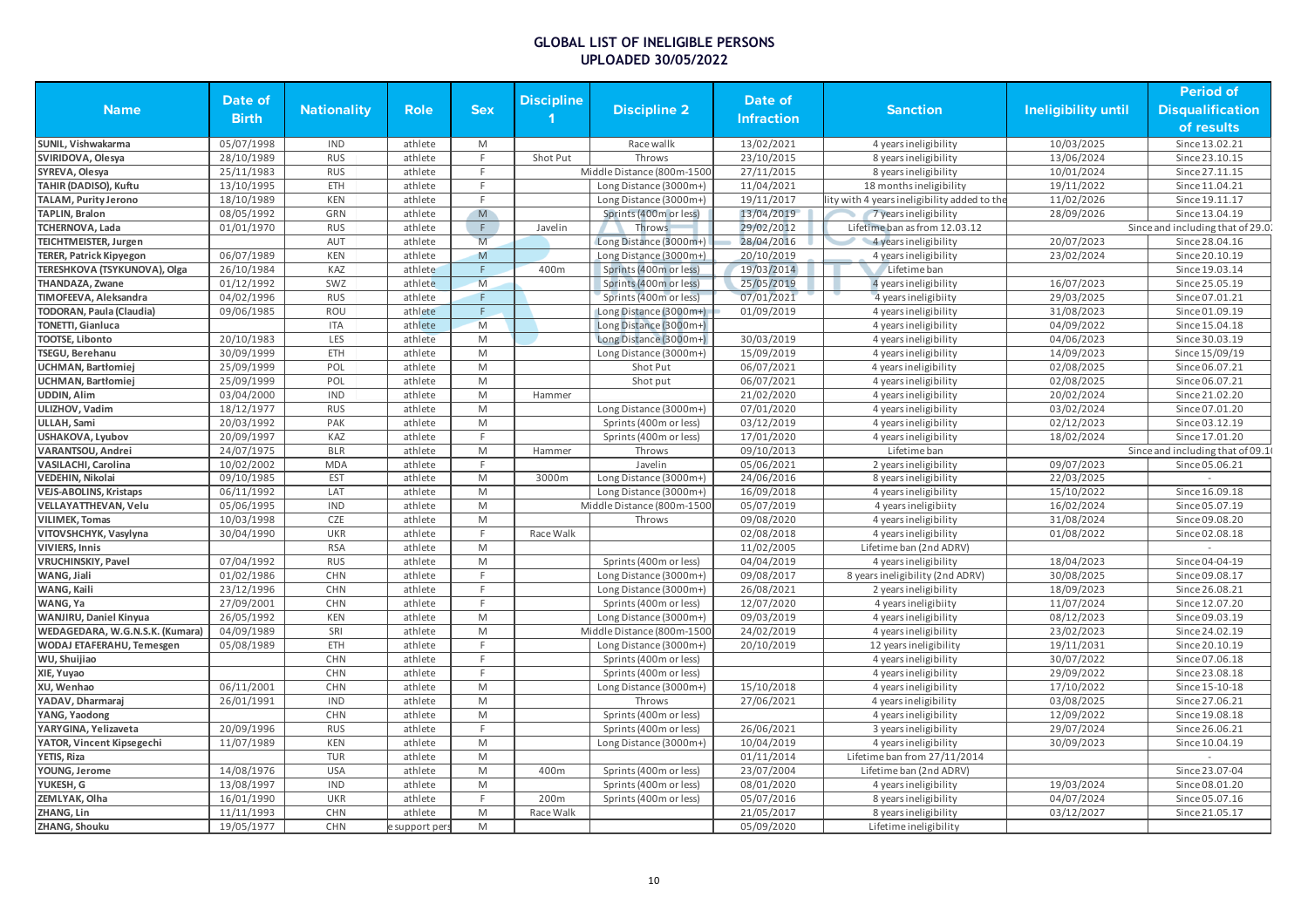|                                         |                          |                          |                |                                                                                                            |                   |                            |                          |                                              |                     | <b>Period of</b>                  |
|-----------------------------------------|--------------------------|--------------------------|----------------|------------------------------------------------------------------------------------------------------------|-------------------|----------------------------|--------------------------|----------------------------------------------|---------------------|-----------------------------------|
| <b>Name</b>                             | Date of                  | <b>Nationality</b>       | Role           | <b>Sex</b>                                                                                                 | <b>Discipline</b> | <b>Discipline 2</b>        | Date of                  | <b>Sanction</b>                              | Ineligibility until | <b>Disqualification</b>           |
|                                         | <b>Birth</b>             |                          |                |                                                                                                            |                   |                            | <b>Infraction</b>        |                                              |                     | of results                        |
|                                         |                          |                          |                |                                                                                                            |                   |                            |                          |                                              |                     |                                   |
| SUNIL, Vishwakarma<br>SVIRIDOVA, Olesya | 05/07/1998<br>28/10/1989 | <b>IND</b><br><b>RUS</b> | athlete        | M<br>F                                                                                                     |                   | Race wallk                 | 13/02/2021<br>23/10/2015 | 4 years ineligibility                        | 10/03/2025          | Since 13.02.21<br>Since 23.10.15  |
|                                         |                          | <b>RUS</b>               | athlete        | E                                                                                                          | Shot Put          | Throws                     |                          | 8 years ineligibility                        | 13/06/2024          | Since 27.11.15                    |
| SYREVA, Olesya                          | 25/11/1983               |                          | athlete        | E                                                                                                          |                   | Middle Distance (800m-1500 | 27/11/2015               | 8 years ineligibility                        | 10/01/2024          |                                   |
| <b>TAHIR (DADISO), Kuftu</b>            | 13/10/1995               | ETH                      | athlete        |                                                                                                            |                   | Long Distance (3000m+)     | 11/04/2021               | 18 months ineligibility                      | 19/11/2022          | Since 11.04.21                    |
| TALAM, Purity Jerono                    | 18/10/1989               | <b>KEN</b>               | athlete        | F                                                                                                          |                   | Long Distance (3000m+)     | 19/11/2017               | lity with 4 years ineligibility added to the | 11/02/2026          | Since 19.11.17                    |
| <b>TAPLIN, Bralon</b>                   | 08/05/1992               | GRN                      | athlete        | M                                                                                                          |                   | Sprints (400m or less)     | 13/04/2019               | 7 years ineligibility                        | 28/09/2026          | Since 13.04.19                    |
| TCHERNOVA, Lada                         | 01/01/1970               | <b>RUS</b>               | athlete        | $\mathsf F$                                                                                                | Javelin           | Throws                     | 29/02/2012               | Lifetime ban as from 12.03.12                |                     | Since and including that of 29.0. |
| <b>TEICHTMEISTER, Jurgen</b>            |                          | AUT                      | athlete        | M                                                                                                          |                   | Long Distance (3000m+)     | 28/04/2016               | 4 years ineligibility                        | 20/07/2023          | Since 28.04.16                    |
| <b>TERER, Patrick Kipyegon</b>          | 06/07/1989               | <b>KEN</b>               | athlete        | M                                                                                                          |                   | Long Distance (3000m+)     | 20/10/2019               | 4 years ineligibility                        | 23/02/2024          | Since 20.10.19                    |
| TERESHKOVA (TSYKUNOVA), Olga            | 26/10/1984               | KAZ                      | athlete        | E                                                                                                          | 400m              | Sprints (400m or less)     | 19/03/2014               | Lifetime ban                                 |                     | Since 19.03.14                    |
| <b>THANDAZA, Zwane</b>                  | 01/12/1992               | SWZ                      | athlete        | M                                                                                                          |                   | Sprints (400m or less)     | 25/05/2019               | 4 years ineligibility                        | 16/07/2023          | Since 25.05.19                    |
| TIMOFEEVA, Aleksandra                   | 04/02/1996               | <b>RUS</b>               | athlete        | F                                                                                                          |                   | Sprints (400m or less)     | 07/01/2021               | 4 years ineligibiity                         | 29/03/2025          | Since 07.01.21                    |
| <b>TODORAN, Paula (Claudia)</b>         | 09/06/1985               | <b>ROU</b>               | athlete        | F                                                                                                          |                   | Long Distance (3000m+)     | 01/09/2019               | 4 years ineligibility                        | 31/08/2023          | Since 01.09.19                    |
| TONETTI, Gianluca                       |                          | <b>ITA</b>               | athlete        | M                                                                                                          |                   | Long Distance (3000m+)     |                          | 4 years ineligibility                        | 04/09/2022          | Since 15.04.18                    |
| <b>TOOTSE, Libonto</b>                  | 20/10/1983               | LES                      | athlete        | M                                                                                                          |                   | Long Distance (3000m+)     | 30/03/2019               | 4 years ineligibility                        | 04/06/2023          | Since 30.03.19                    |
| TSEGU, Berehanu                         | 30/09/1999               | ETH                      | athlete        | M                                                                                                          |                   | Long Distance (3000m+)     | 15/09/2019               | 4 years ineligibility                        | 14/09/2023          | Since 15/09/19                    |
| <b>UCHMAN, Bartłomiej</b>               | 25/09/1999               | POL                      | athlete        | M                                                                                                          |                   | Shot Put                   | 06/07/2021               | 4 years ineligibility                        | 02/08/2025          | Since 06.07.21                    |
| <b>UCHMAN, Bartłomiej</b>               | 25/09/1999               | POL                      | athlete        | M                                                                                                          |                   | Shot put                   | 06/07/2021               | 4 years ineligibility                        | 02/08/2025          | Since 06.07.21                    |
| UDDIN, Alim                             | 03/04/2000               | <b>IND</b>               | athlete        | M                                                                                                          | Hammer            |                            | 21/02/2020               | 4 years ineligibility                        | 20/02/2024          | Since 21.02.20                    |
| ULIZHOV, Vadim                          | 18/12/1977               | <b>RUS</b>               | athlete        | M                                                                                                          |                   | Long Distance (3000m+)     | 07/01/2020               | 4 years ineligibility                        | 03/02/2024          | Since 07.01.20                    |
| ULLAH, Sami                             | 20/03/1992               | PAK                      | athlete        | $\mathsf{M}% _{T}=\mathsf{M}_{T}\!\left( a,b\right) ,\ \mathsf{M}_{T}=\mathsf{M}_{T}\!\left( a,b\right) ,$ |                   | Sprints (400m or less)     | 03/12/2019               | 4 years ineligibility                        | 02/12/2023          | Since 03.12.19                    |
| USHAKOVA, Lyubov                        | 20/09/1997               | KAZ                      | athlete        | F                                                                                                          |                   | Sprints (400m or less)     | 17/01/2020               | 4 years ineligibility                        | 18/02/2024          | Since 17.01.20                    |
| <b>VARANTSOU, Andrei</b>                | 24/07/1975               | <b>BLR</b>               | athlete        | M                                                                                                          | Hammer            | Throws                     | 09/10/2013               | Lifetime ban                                 |                     | Since and including that of 09.1  |
| <b>VASILACHI, Carolina</b>              | 10/02/2002               | <b>MDA</b>               | athlete        | $\mathsf{F}$                                                                                               |                   | Javelin                    | 05/06/2021               | 2 years ineligibility                        | 09/07/2023          | Since 05.06.21                    |
| VEDEHIN, Nikolai                        | 09/10/1985               | EST                      | athlete        | M                                                                                                          | 3000m             | Long Distance (3000m+)     | 24/06/2016               | 8 years ineligibility                        | 22/03/2025          |                                   |
| <b>VEJS-ABOLINS, Kristaps</b>           | 06/11/1992               | LAT                      | athlete        | M                                                                                                          |                   | Long Distance (3000m+)     | 16/09/2018               | 4 years ineligibility                        | 15/10/2022          | Since 16.09.18                    |
| <b>VELLAYATTHEVAN, Velu</b>             | 05/06/1995               | <b>IND</b>               | athlete        | M                                                                                                          |                   | Middle Distance (800m-1500 | 05/07/2019               | 4 years ineligibiity                         | 16/02/2024          | Since 05.07.19                    |
| <b>VILIMEK, Tomas</b>                   | 10/03/1998               | CZE                      | athlete        | M                                                                                                          |                   | Throws                     | 09/08/2020               | 4 years ineligibility                        | 31/08/2024          | Since 09.08.20                    |
| VITOVSHCHYK, Vasylyna                   | 30/04/1990               | <b>UKR</b>               | athlete        | E                                                                                                          | Race Walk         |                            | 02/08/2018               | 4 years ineligibility                        | 01/08/2022          | Since 02.08.18                    |
| <b>VIVIERS, Innis</b>                   |                          | <b>RSA</b>               | athlete        | M                                                                                                          |                   |                            | 11/02/2005               | Lifetime ban (2nd ADRV)                      |                     |                                   |
| <b>VRUCHINSKIY, Pavel</b>               | 07/04/1992               | <b>RUS</b>               | athlete        | M                                                                                                          |                   | Sprints (400m or less)     | 04/04/2019               | 4 years ineligibility                        | 18/04/2023          | Since 04-04-19                    |
| WANG, Jiali                             | 01/02/1986               | CHN                      | athlete        | E                                                                                                          |                   | Long Distance (3000m+)     | 09/08/2017               | 8 years ineligibility (2nd ADRV)             | 30/08/2025          | Since 09.08.17                    |
| WANG, Kaili                             | 23/12/1996               | CHN                      | athlete        | F                                                                                                          |                   | Long Distance (3000m+)     | 26/08/2021               | 2 years ineligibility                        | 18/09/2023          | Since 26.08.21                    |
| WANG, Ya                                | 27/09/2001               | <b>CHN</b>               | athlete        | F                                                                                                          |                   | Sprints (400m or less)     | 12/07/2020               | 4 years ineligibiity                         | 11/07/2024          | Since 12.07.20                    |
| WANJIRU, Daniel Kinyua                  | 26/05/1992               | <b>KEN</b>               | athlete        | $\mathsf{M}% _{T}=\mathsf{M}_{T}\!\left( a,b\right) ,\ \mathsf{M}_{T}=\mathsf{M}_{T}\!\left( a,b\right) ,$ |                   | Long Distance (3000m+)     | 09/03/2019               | 4 years ineligibility                        | 08/12/2023          | Since 09.03.19                    |
| WEDAGEDARA, W.G.N.S.K. (Kumara)         | 04/09/1989               | SRI                      | athlete        | M                                                                                                          |                   | Middle Distance (800m-1500 | 24/02/2019               | 4 years ineligibility                        | 23/02/2023          | Since 24.02.19                    |
| <b>WODAJ ETAFERAHU, Temesgen</b>        | 05/08/1989               | ETH                      | athlete        | E                                                                                                          |                   | Long Distance (3000m+)     | 20/10/2019               | 12 years ineligibility                       | 19/11/2031          | Since 20.10.19                    |
| WU, Shuijiao                            |                          | CHN                      | athlete        | F                                                                                                          |                   | Sprints (400m or less)     |                          | 4 years ineligibility                        | 30/07/2022          | Since 07.06.18                    |
| XIE, Yuyao                              |                          | <b>CHN</b>               | athlete        | E                                                                                                          |                   | Sprints (400m or less)     |                          | 4 years ineligibility                        | 29/09/2022          | Since 23.08.18                    |
| XU, Wenhao                              | 06/11/2001               | CHN                      | athlete        | M                                                                                                          |                   | Long Distance (3000m+)     | 15/10/2018               | 4 years ineligibility                        | 17/10/2022          | Since 15-10-18                    |
| YADAV, Dharmaraj                        | 26/01/1991               | <b>IND</b>               | athlete        | M                                                                                                          |                   | Throws                     | 27/06/2021               | 4 years ineligibility                        | 03/08/2025          | Since 27.06.21                    |
| YANG, Yaodong                           |                          | CHN                      | athlete        | $\mathsf{M}% _{T}=\mathsf{M}_{T}\!\left( a,b\right) ,\ \mathsf{M}_{T}=\mathsf{M}_{T}\!\left( a,b\right) ,$ |                   | Sprints (400m or less)     |                          | 4 years ineligibility                        | 12/09/2022          | Since 19.08.18                    |
| YARYGINA, Yelizaveta                    | 20/09/1996               | <b>RUS</b>               | athlete        | F.                                                                                                         |                   | Sprints (400m or less)     | 26/06/2021               | 3 years ineligibility                        | 29/07/2024          | Since 26.06.21                    |
| YATOR, Vincent Kipsegechi               | 11/07/1989               | <b>KEN</b>               | athlete        | M                                                                                                          |                   | Long Distance (3000m+)     | 10/04/2019               | 4 years ineligibility                        | 30/09/2023          | Since 10.04.19                    |
| <b>YETIS, Riza</b>                      |                          | <b>TUR</b>               | athlete        | M                                                                                                          |                   |                            | 01/11/2014               | Lifetime ban from 27/11/2014                 |                     |                                   |
| YOUNG, Jerome                           | 14/08/1976               | <b>USA</b>               | athlete        | M                                                                                                          | 400m              | Sprints (400m or less)     | 23/07/2004               | Lifetime ban (2nd ADRV)                      |                     | Since 23.07-04                    |
| YUKESH, G                               | 13/08/1997               | <b>IND</b>               | athlete        | M                                                                                                          |                   | Sprints (400m or less)     | 08/01/2020               | 4 years ineligibility                        | 19/03/2024          | Since 08.01.20                    |
| ZEMLYAK, Olha                           | 16/01/1990               | <b>UKR</b>               | athlete        | E                                                                                                          | 200m              | Sprints (400m or less)     | 05/07/2016               | 8 years ineligibility                        | 04/07/2024          | Since 05.07.16                    |
| ZHANG, Lin                              | 11/11/1993               | CHN                      | athlete        | M                                                                                                          | Race Walk         |                            | 21/05/2017               | 8 years ineligibility                        | 03/12/2027          | Since 21.05.17                    |
| ZHANG, Shouku                           | 19/05/1977               | <b>CHN</b>               | e support pers | M                                                                                                          |                   |                            | 05/09/2020               | Lifetime ineligibility                       |                     |                                   |
|                                         |                          |                          |                |                                                                                                            |                   |                            |                          |                                              |                     |                                   |